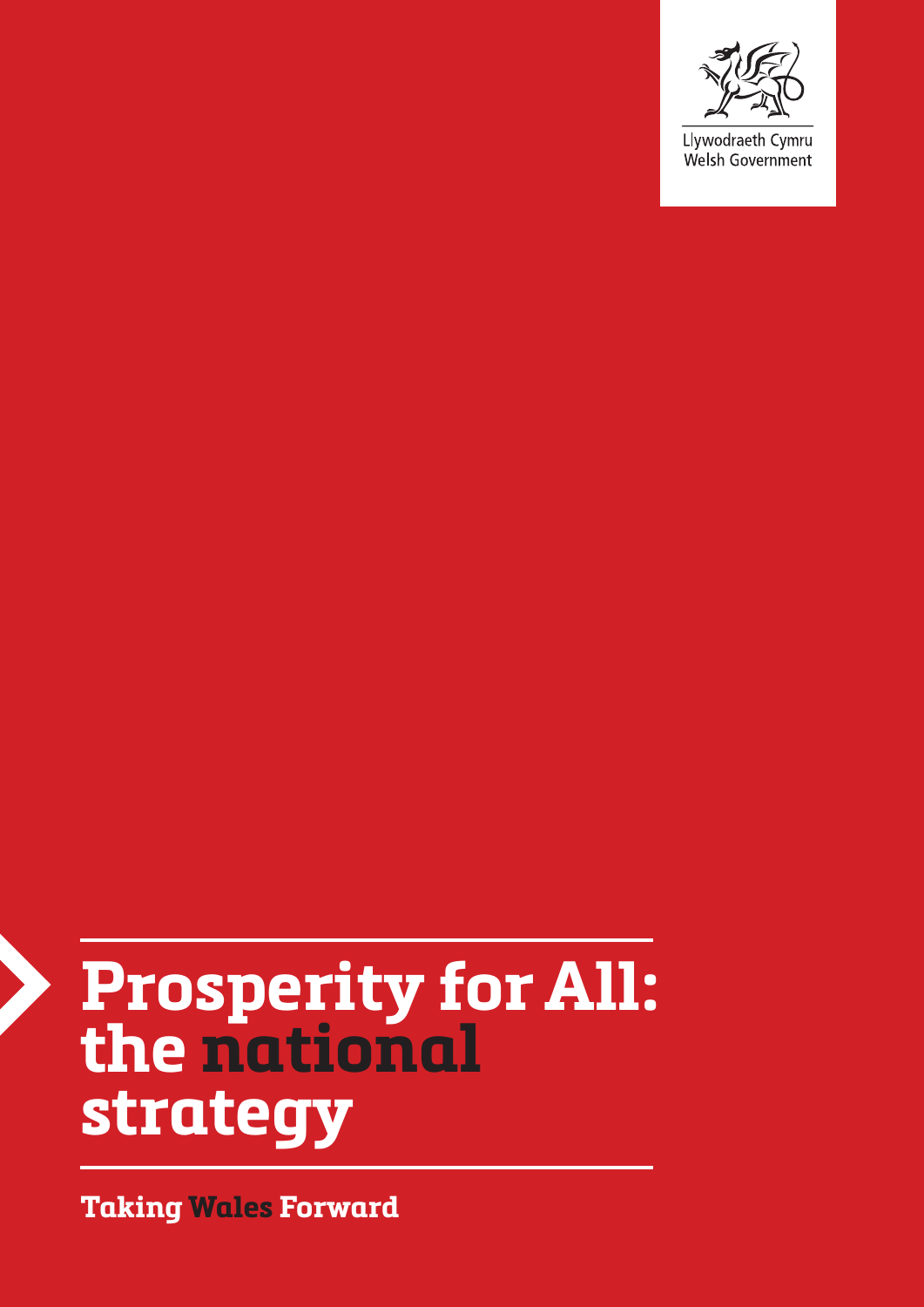

Llywodraeth Cymru Welsh Government

# **Prosperity for All: the national strategy**

**Taking Wales Forward**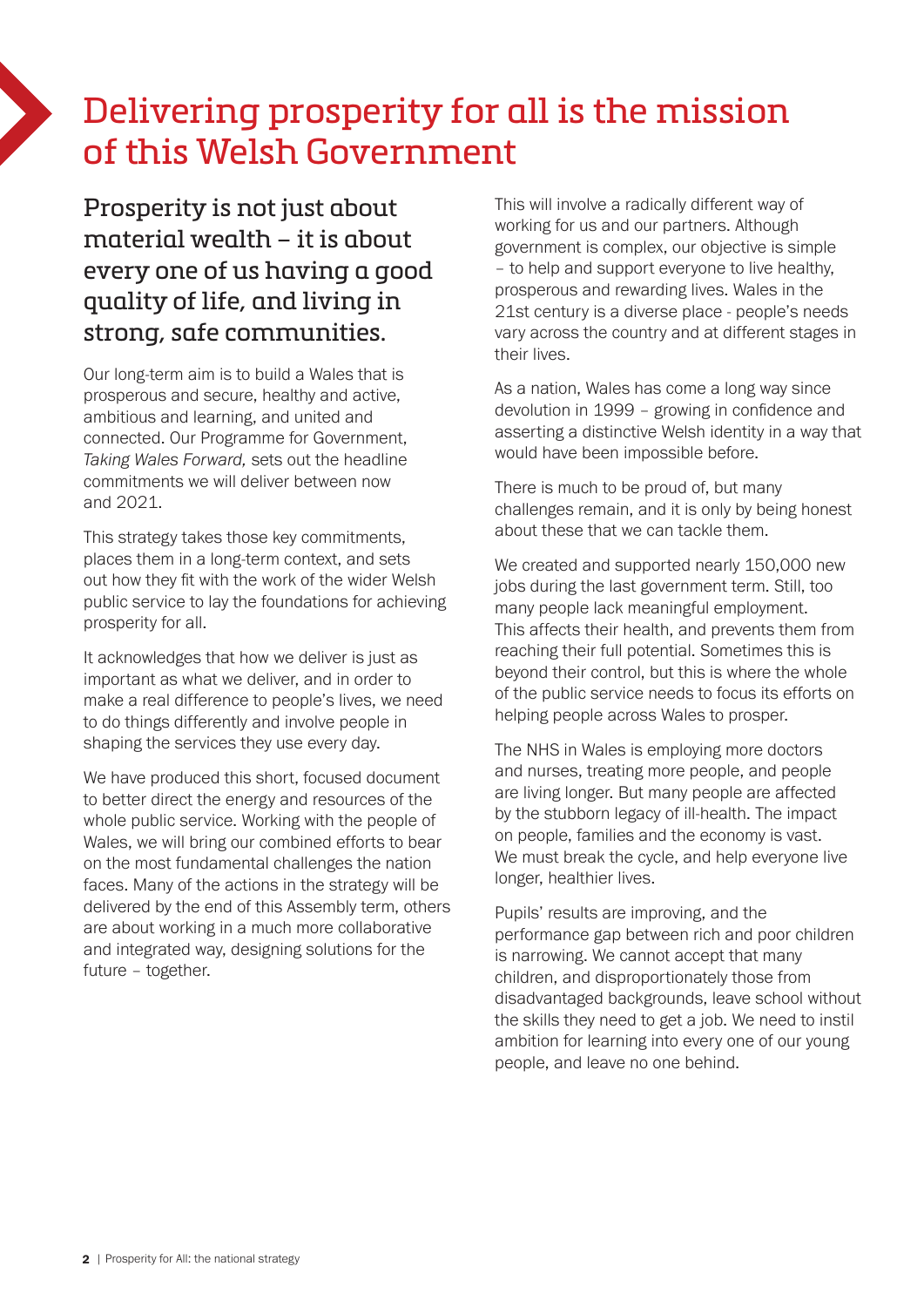# Delivering prosperity for all is the mission of this Welsh Government

# Prosperity is not just about material wealth – it is about every one of us having a good quality of life, and living in strong, safe communities.

Our long-term aim is to build a Wales that is prosperous and secure, healthy and active, ambitious and learning, and united and connected. Our Programme for Government, *Taking Wales Forward,* sets out the headline commitments we will deliver between now and 2021.

This strategy takes those key commitments, places them in a long-term context, and sets out how they fit with the work of the wider Welsh public service to lay the foundations for achieving prosperity for all.

It acknowledges that how we deliver is just as important as what we deliver, and in order to make a real difference to people's lives, we need to do things differently and involve people in shaping the services they use every day.

We have produced this short, focused document to better direct the energy and resources of the whole public service. Working with the people of Wales, we will bring our combined efforts to bear on the most fundamental challenges the nation faces. Many of the actions in the strategy will be delivered by the end of this Assembly term, others are about working in a much more collaborative and integrated way, designing solutions for the future – together.

This will involve a radically different way of working for us and our partners. Although government is complex, our objective is simple – to help and support everyone to live healthy, prosperous and rewarding lives. Wales in the 21st century is a diverse place - people's needs vary across the country and at different stages in their lives.

As a nation, Wales has come a long way since devolution in 1999 – growing in confidence and asserting a distinctive Welsh identity in a way that would have been impossible before.

There is much to be proud of, but many challenges remain, and it is only by being honest about these that we can tackle them.

We created and supported nearly 150,000 new jobs during the last government term. Still, too many people lack meaningful employment. This affects their health, and prevents them from reaching their full potential. Sometimes this is beyond their control, but this is where the whole of the public service needs to focus its efforts on helping people across Wales to prosper.

The NHS in Wales is employing more doctors and nurses, treating more people, and people are living longer. But many people are affected by the stubborn legacy of ill-health. The impact on people, families and the economy is vast. We must break the cycle, and help everyone live longer, healthier lives.

Pupils' results are improving, and the performance gap between rich and poor children is narrowing. We cannot accept that many children, and disproportionately those from disadvantaged backgrounds, leave school without the skills they need to get a job. We need to instil ambition for learning into every one of our young people, and leave no one behind.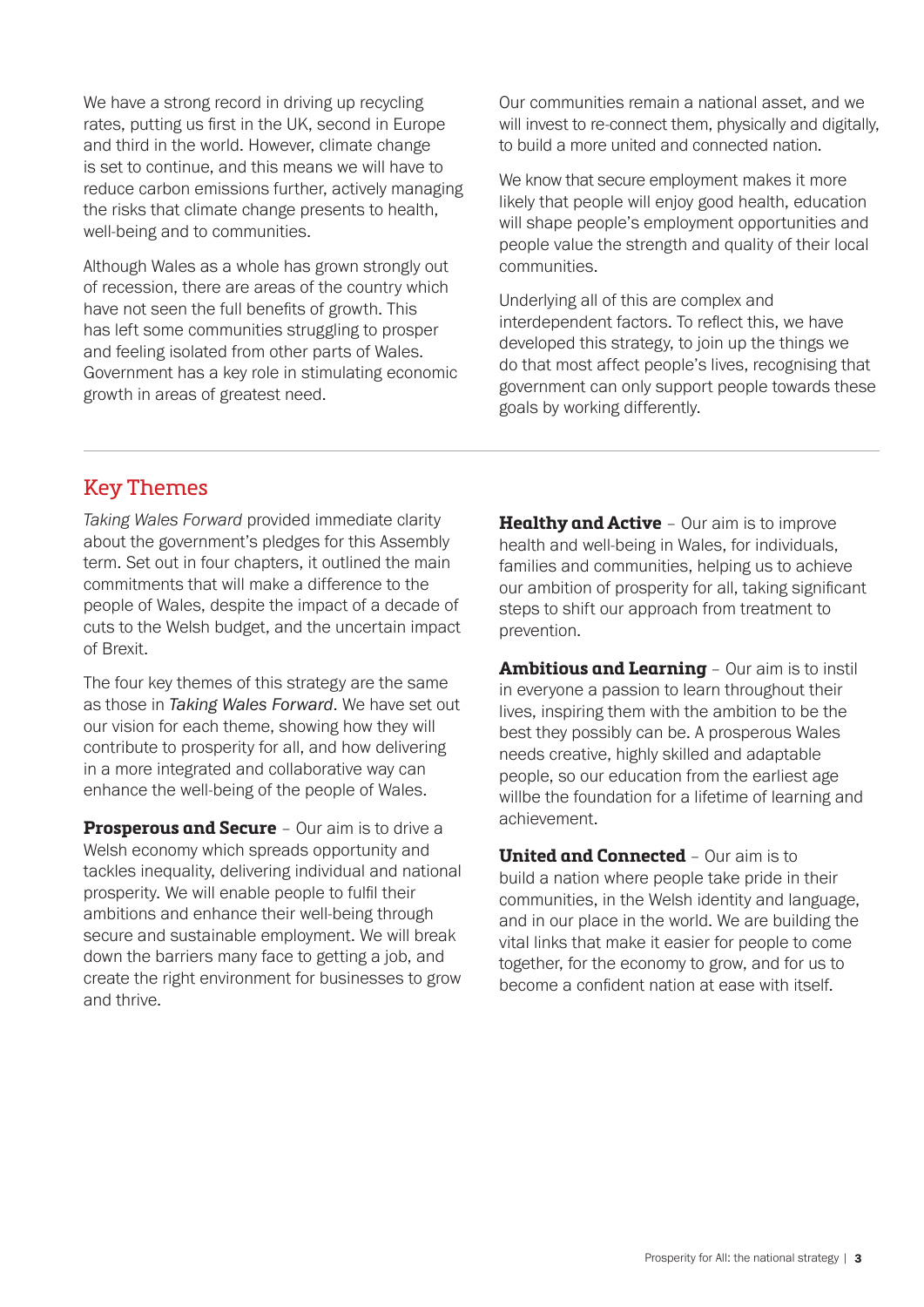We have a strong record in driving up recycling rates, putting us first in the UK, second in Europe and third in the world. However, climate change is set to continue, and this means we will have to reduce carbon emissions further, actively managing the risks that climate change presents to health, well-being and to communities.

Although Wales as a whole has grown strongly out of recession, there are areas of the country which have not seen the full benefits of growth. This has left some communities struggling to prosper and feeling isolated from other parts of Wales. Government has a key role in stimulating economic growth in areas of greatest need.

Our communities remain a national asset, and we will invest to re-connect them, physically and digitally, to build a more united and connected nation.

We know that secure employment makes it more likely that people will enjoy good health, education will shape people's employment opportunities and people value the strength and quality of their local communities.

Underlying all of this are complex and interdependent factors. To reflect this, we have developed this strategy, to join up the things we do that most affect people's lives, recognising that government can only support people towards these goals by working differently.

#### Key Themes

*Taking Wales Forward* provided immediate clarity about the government's pledges for this Assembly term. Set out in four chapters, it outlined the main commitments that will make a difference to the people of Wales, despite the impact of a decade of cuts to the Welsh budget, and the uncertain impact of Brexit.

The four key themes of this strategy are the same as those in *Taking Wales Forward*. We have set out our vision for each theme, showing how they will contribute to prosperity for all, and how delivering in a more integrated and collaborative way can enhance the well-being of the people of Wales.

**Prosperous and Secure** – Our aim is to drive a Welsh economy which spreads opportunity and tackles inequality, delivering individual and national prosperity. We will enable people to fulfil their ambitions and enhance their well-being through secure and sustainable employment. We will break down the barriers many face to getting a job, and create the right environment for businesses to grow and thrive.

**Healthy and Active** – Our aim is to improve health and well-being in Wales, for individuals, families and communities, helping us to achieve our ambition of prosperity for all, taking significant steps to shift our approach from treatment to prevention.

**Ambitious and Learning** – Our aim is to instil in everyone a passion to learn throughout their lives, inspiring them with the ambition to be the best they possibly can be. A prosperous Wales needs creative, highly skilled and adaptable people, so our education from the earliest age willbe the foundation for a lifetime of learning and achievement.

**United and Connected** – Our aim is to build a nation where people take pride in their communities, in the Welsh identity and language, and in our place in the world. We are building the vital links that make it easier for people to come together, for the economy to grow, and for us to become a confident nation at ease with itself.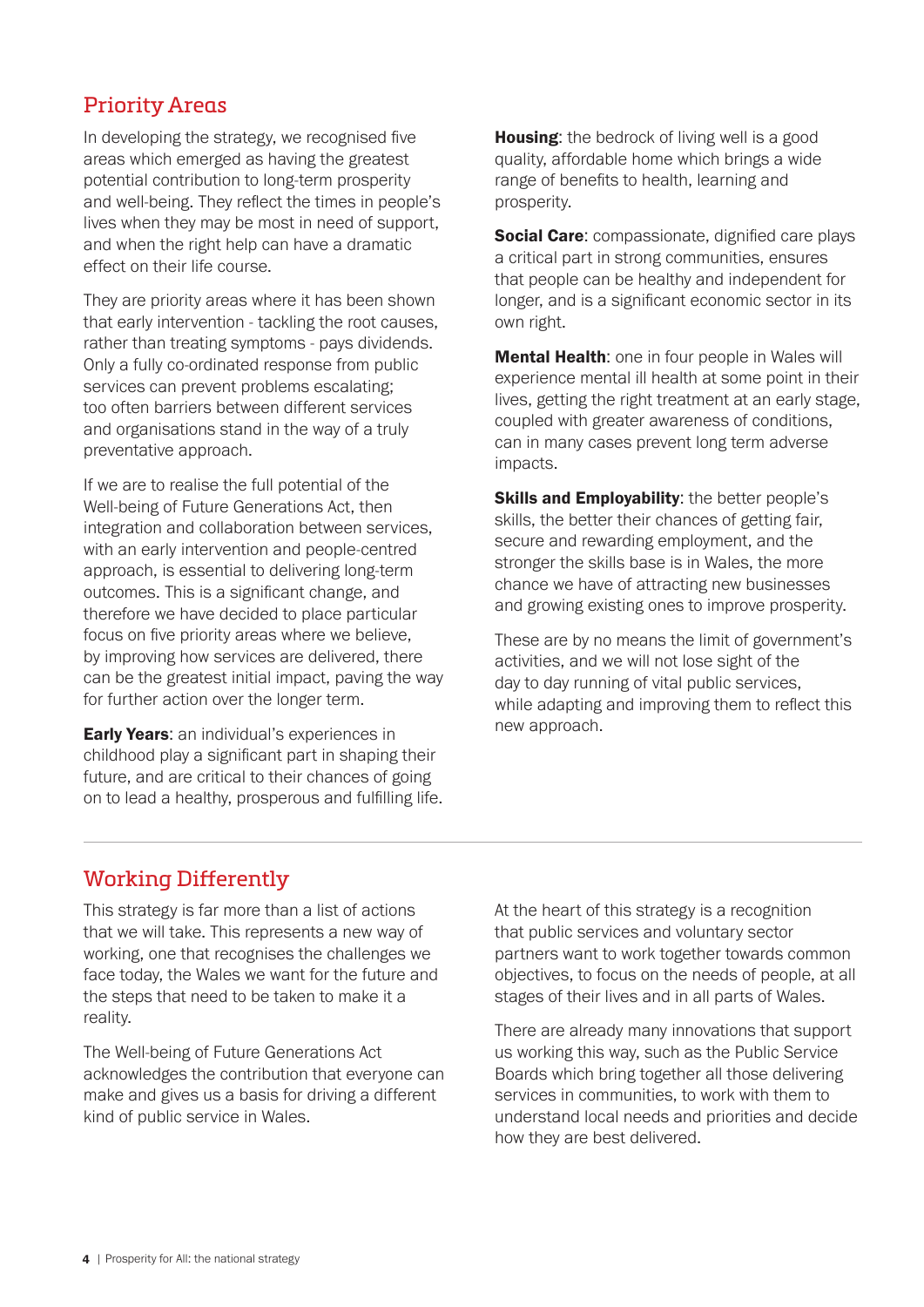#### Priority Areas

In developing the strategy, we recognised five areas which emerged as having the greatest potential contribution to long-term prosperity and well-being. They reflect the times in people's lives when they may be most in need of support, and when the right help can have a dramatic effect on their life course.

They are priority areas where it has been shown that early intervention - tackling the root causes, rather than treating symptoms - pays dividends. Only a fully co-ordinated response from public services can prevent problems escalating; too often barriers between different services and organisations stand in the way of a truly preventative approach.

If we are to realise the full potential of the Well-being of Future Generations Act, then integration and collaboration between services, with an early intervention and people-centred approach, is essential to delivering long-term outcomes. This is a significant change, and therefore we have decided to place particular focus on five priority areas where we believe, by improving how services are delivered, there can be the greatest initial impact, paving the way for further action over the longer term.

**Early Years:** an individual's experiences in childhood play a significant part in shaping their future, and are critical to their chances of going on to lead a healthy, prosperous and fulfilling life. **Housing:** the bedrock of living well is a good quality, affordable home which brings a wide range of benefits to health, learning and prosperity.

**Social Care:** compassionate, dignified care plays a critical part in strong communities, ensures that people can be healthy and independent for longer, and is a significant economic sector in its own right.

**Mental Health:** one in four people in Wales will experience mental ill health at some point in their lives, getting the right treatment at an early stage, coupled with greater awareness of conditions, can in many cases prevent long term adverse impacts.

**Skills and Employability:** the better people's skills, the better their chances of getting fair, secure and rewarding employment, and the stronger the skills base is in Wales, the more chance we have of attracting new businesses and growing existing ones to improve prosperity.

These are by no means the limit of government's activities, and we will not lose sight of the day to day running of vital public services, while adapting and improving them to reflect this new approach.

### Working Differently

This strategy is far more than a list of actions that we will take. This represents a new way of working, one that recognises the challenges we face today, the Wales we want for the future and the steps that need to be taken to make it a reality.

The Well-being of Future Generations Act acknowledges the contribution that everyone can make and gives us a basis for driving a different kind of public service in Wales.

At the heart of this strategy is a recognition that public services and voluntary sector partners want to work together towards common objectives, to focus on the needs of people, at all stages of their lives and in all parts of Wales.

There are already many innovations that support us working this way, such as the Public Service Boards which bring together all those delivering services in communities, to work with them to understand local needs and priorities and decide how they are best delivered.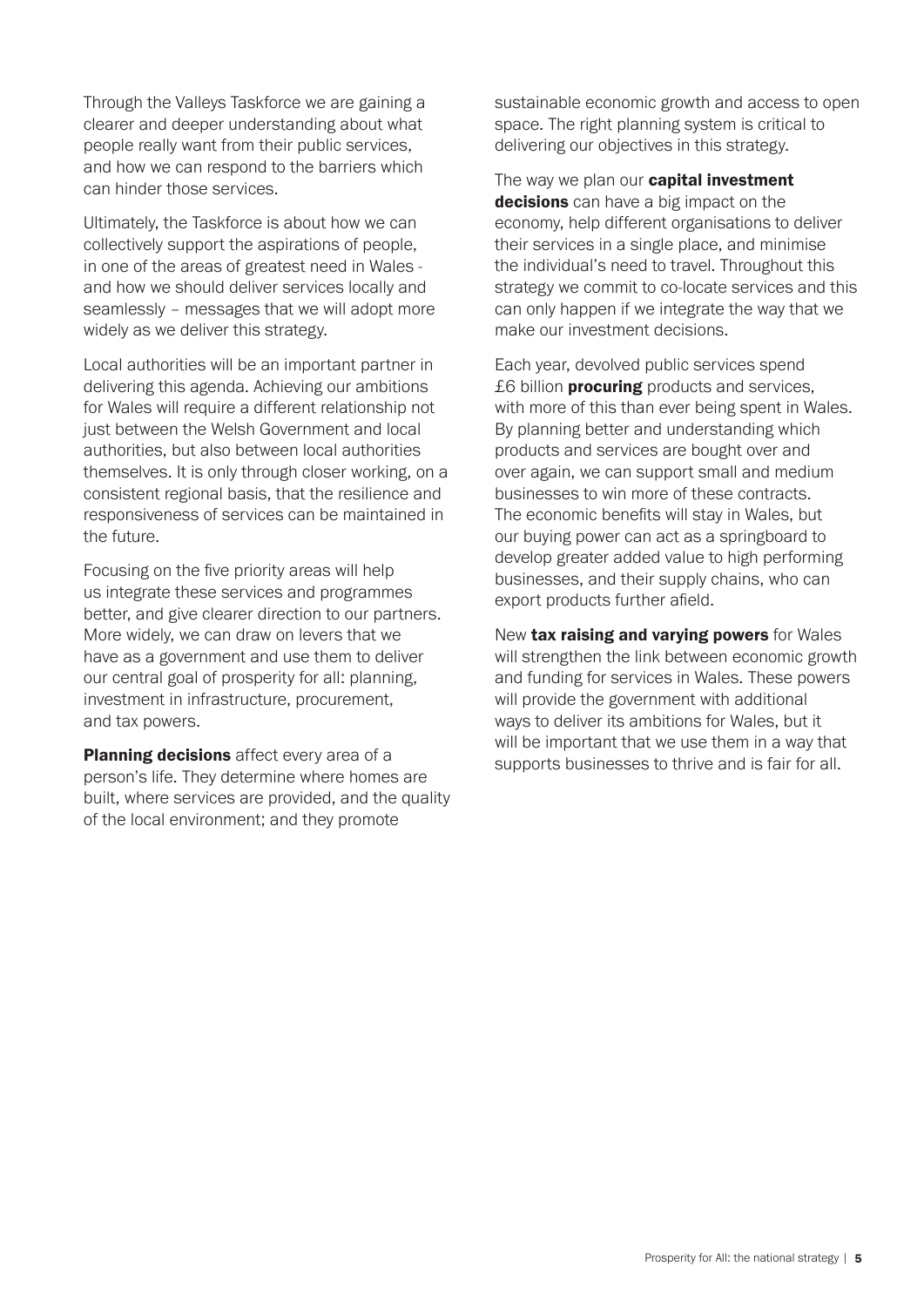Through the Valleys Taskforce we are gaining a clearer and deeper understanding about what people really want from their public services, and how we can respond to the barriers which can hinder those services.

Ultimately, the Taskforce is about how we can collectively support the aspirations of people, in one of the areas of greatest need in Wales and how we should deliver services locally and seamlessly – messages that we will adopt more widely as we deliver this strategy.

Local authorities will be an important partner in delivering this agenda. Achieving our ambitions for Wales will require a different relationship not just between the Welsh Government and local authorities, but also between local authorities themselves. It is only through closer working, on a consistent regional basis, that the resilience and responsiveness of services can be maintained in the future.

Focusing on the five priority areas will help us integrate these services and programmes better, and give clearer direction to our partners. More widely, we can draw on levers that we have as a government and use them to deliver our central goal of prosperity for all: planning, investment in infrastructure, procurement, and tax powers.

Planning decisions affect every area of a person's life. They determine where homes are built, where services are provided, and the quality of the local environment; and they promote

sustainable economic growth and access to open space. The right planning system is critical to delivering our objectives in this strategy.

The way we plan our **capital investment** decisions can have a big impact on the economy, help different organisations to deliver their services in a single place, and minimise the individual's need to travel. Throughout this strategy we commit to co-locate services and this can only happen if we integrate the way that we make our investment decisions.

Each year, devolved public services spend £6 billion **procuring** products and services, with more of this than ever being spent in Wales. By planning better and understanding which products and services are bought over and over again, we can support small and medium businesses to win more of these contracts. The economic benefits will stay in Wales, but our buying power can act as a springboard to develop greater added value to high performing businesses, and their supply chains, who can export products further afield.

New tax raising and varying powers for Wales will strengthen the link between economic growth and funding for services in Wales. These powers will provide the government with additional ways to deliver its ambitions for Wales, but it will be important that we use them in a way that supports businesses to thrive and is fair for all.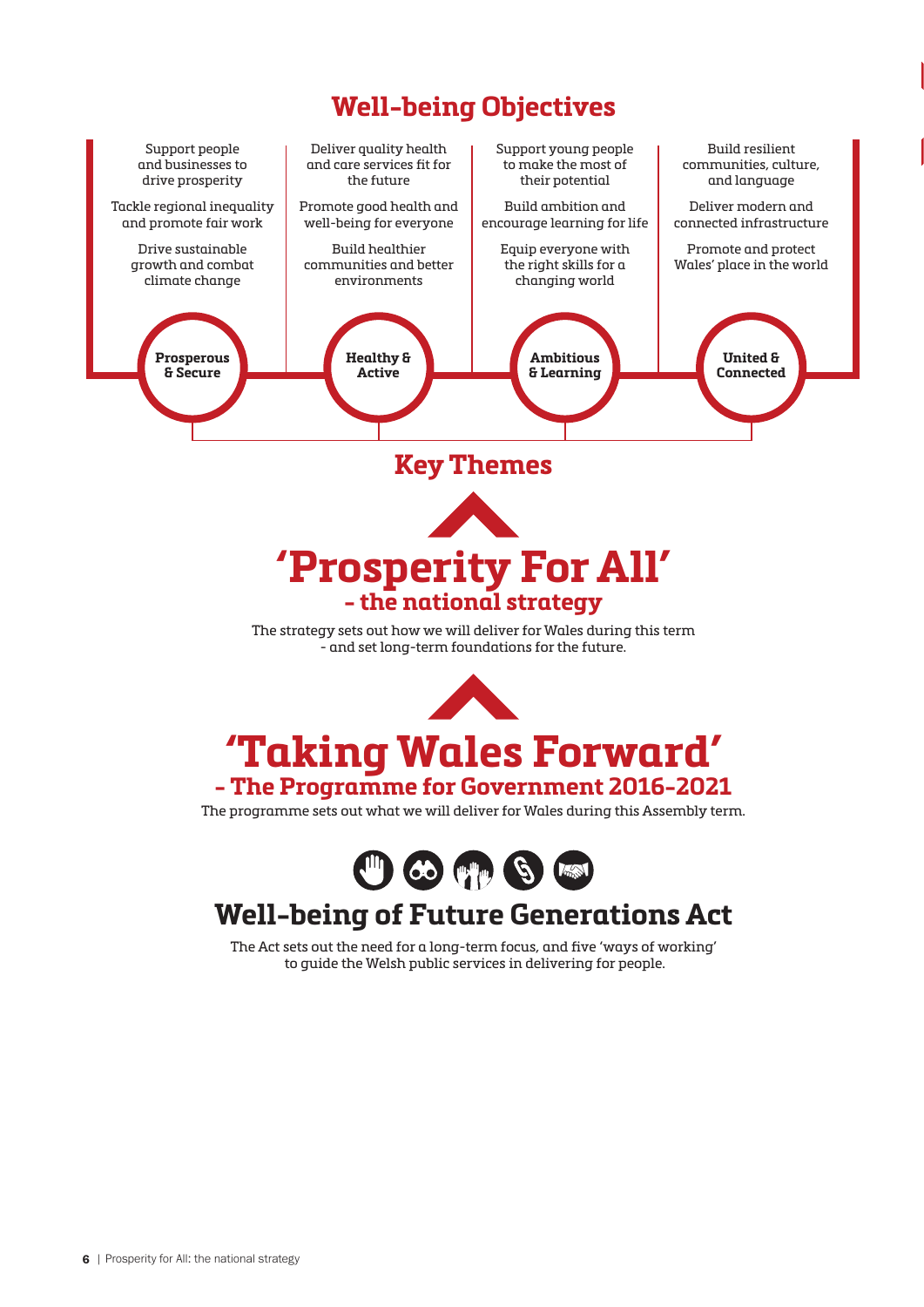# **Well-being Objectives**



The Act sets out the need for a long-term focus, and five 'ways of working' to guide the Welsh public services in delivering for people.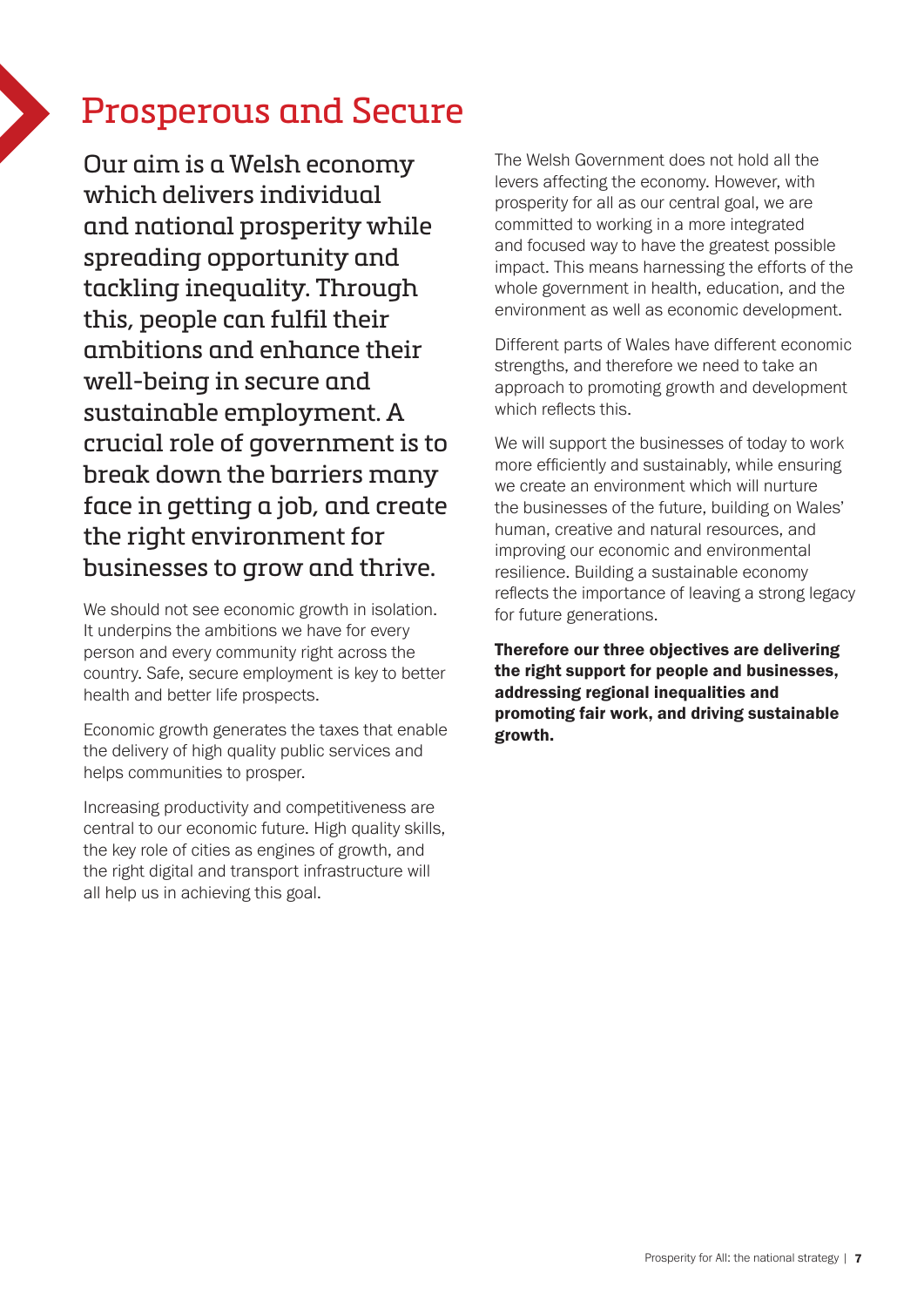# Prosperous and Secure

Our aim is a Welsh economy which delivers individual and national prosperity while spreading opportunity and tackling inequality. Through this, people can fulfil their ambitions and enhance their well-being in secure and sustainable employment. A crucial role of government is to break down the barriers many face in getting a job, and create the right environment for businesses to grow and thrive.

We should not see economic growth in isolation. It underpins the ambitions we have for every person and every community right across the country. Safe, secure employment is key to better health and better life prospects.

Economic growth generates the taxes that enable the delivery of high quality public services and helps communities to prosper.

Increasing productivity and competitiveness are central to our economic future. High quality skills, the key role of cities as engines of growth, and the right digital and transport infrastructure will all help us in achieving this goal.

The Welsh Government does not hold all the levers affecting the economy. However, with prosperity for all as our central goal, we are committed to working in a more integrated and focused way to have the greatest possible impact. This means harnessing the efforts of the whole government in health, education, and the environment as well as economic development.

Different parts of Wales have different economic strengths, and therefore we need to take an approach to promoting growth and development which reflects this.

We will support the businesses of today to work more efficiently and sustainably, while ensuring we create an environment which will nurture the businesses of the future, building on Wales' human, creative and natural resources, and improving our economic and environmental resilience. Building a sustainable economy reflects the importance of leaving a strong legacy for future generations.

Therefore our three objectives are delivering the right support for people and businesses, addressing regional inequalities and promoting fair work, and driving sustainable growth.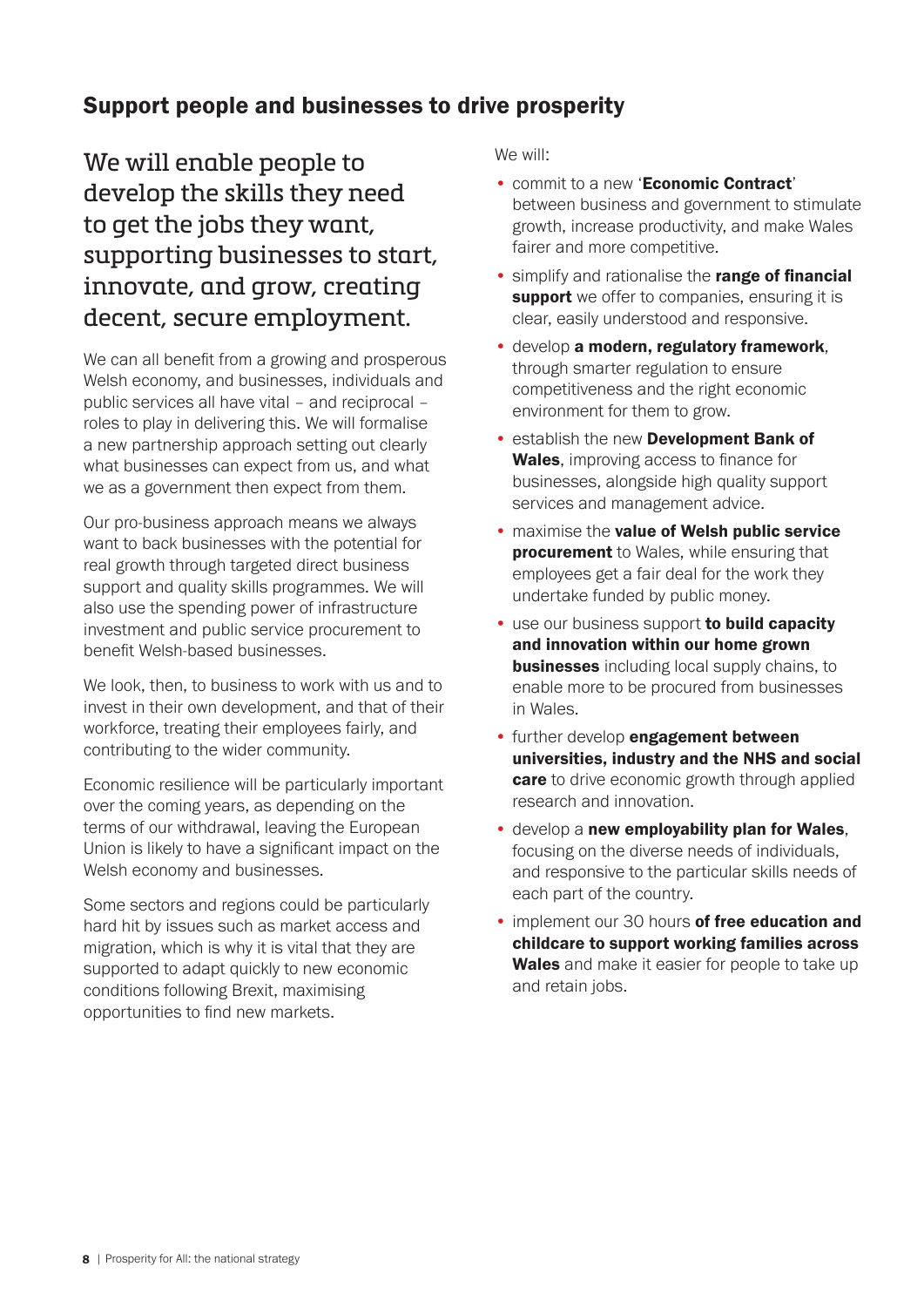# Support people and businesses to drive prosperity

We will enable people to develop the skills they need to get the jobs they want, supporting businesses to start, innovate, and grow, creating decent, secure employment.

We can all benefit from a growing and prosperous Welsh economy, and businesses, individuals and public services all have vital – and reciprocal – roles to play in delivering this. We will formalise a new partnership approach setting out clearly what businesses can expect from us, and what we as a government then expect from them.

Our pro-business approach means we always want to back businesses with the potential for real growth through targeted direct business support and quality skills programmes. We will also use the spending power of infrastructure investment and public service procurement to benefit Welsh-based businesses.

We look, then, to business to work with us and to invest in their own development, and that of their workforce, treating their employees fairly, and contributing to the wider community.

Economic resilience will be particularly important over the coming years, as depending on the terms of our withdrawal, leaving the European Union is likely to have a significant impact on the Welsh economy and businesses.

Some sectors and regions could be particularly hard hit by issues such as market access and migration, which is why it is vital that they are supported to adapt quickly to new economic conditions following Brexit, maximising opportunities to find new markets.

- commit to a new 'Economic Contract' between business and government to stimulate growth, increase productivity, and make Wales fairer and more competitive.
- **simplify and rationalise the range of financial** support we offer to companies, ensuring it is clear, easily understood and responsive.
- develop a modern, regulatory framework, through smarter regulation to ensure competitiveness and the right economic environment for them to grow.
- establish the new Development Bank of Wales, improving access to finance for businesses, alongside high quality support services and management advice.
- maximise the value of Welsh public service **procurement** to Wales, while ensuring that employees get a fair deal for the work they undertake funded by public money.
- use our business support to build capacity and innovation within our home grown **businesses** including local supply chains, to enable more to be procured from businesses in Wales.
- further develop engagement between universities, industry and the NHS and social **care** to drive economic growth through applied research and innovation.
- develop a new employability plan for Wales, focusing on the diverse needs of individuals, and responsive to the particular skills needs of each part of the country.
- implement our 30 hours of free education and childcare to support working families across Wales and make it easier for people to take up and retain jobs.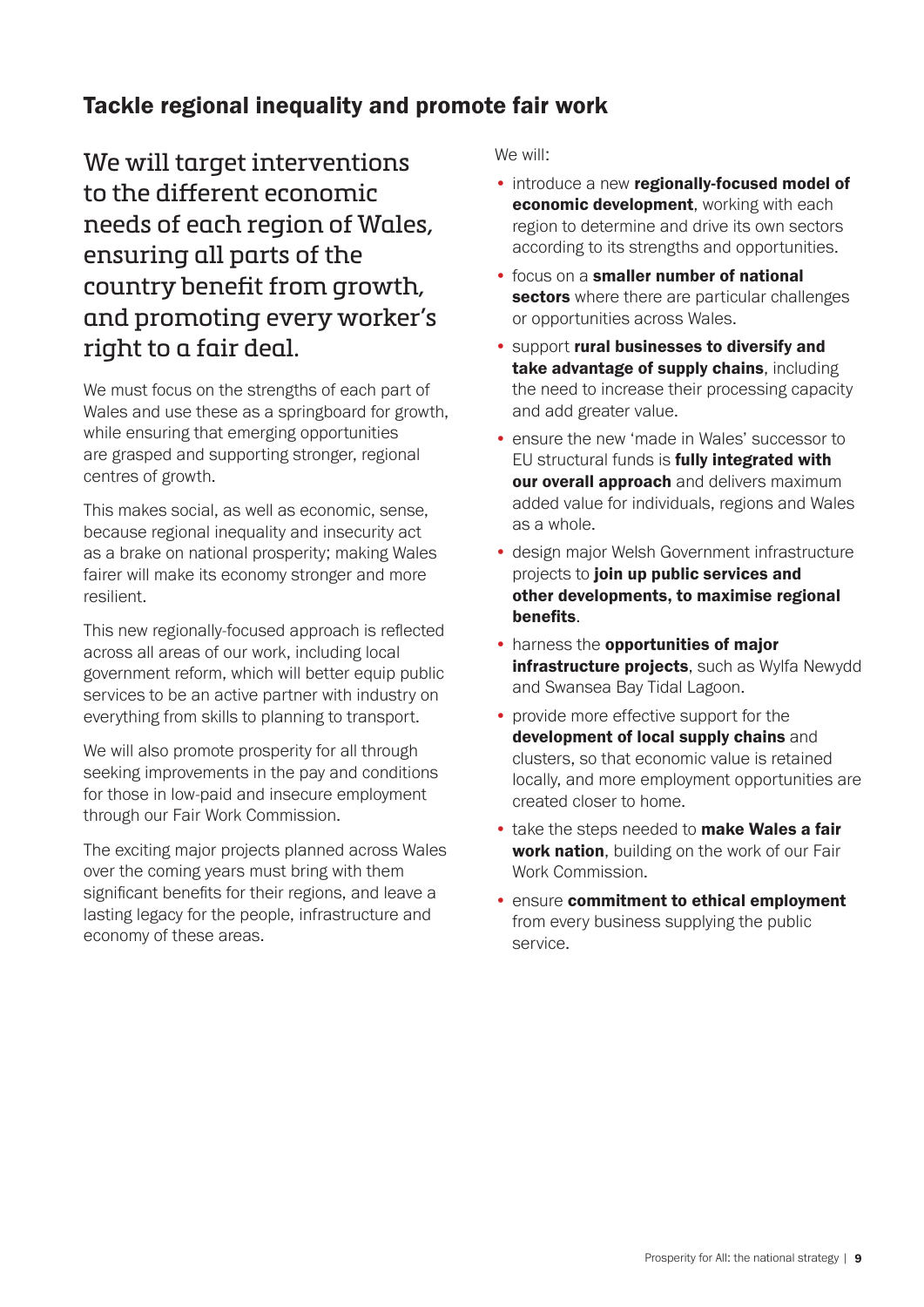# Tackle regional inequality and promote fair work

We will target interventions to the different economic needs of each region of Wales, ensuring all parts of the country benefit from growth, and promoting every worker's right to a fair deal.

We must focus on the strengths of each part of Wales and use these as a springboard for growth, while ensuring that emerging opportunities are grasped and supporting stronger, regional centres of growth.

This makes social, as well as economic, sense, because regional inequality and insecurity act as a brake on national prosperity; making Wales fairer will make its economy stronger and more resilient.

This new regionally-focused approach is reflected across all areas of our work, including local government reform, which will better equip public services to be an active partner with industry on everything from skills to planning to transport.

We will also promote prosperity for all through seeking improvements in the pay and conditions for those in low-paid and insecure employment through our Fair Work Commission.

The exciting major projects planned across Wales over the coming years must bring with them significant benefits for their regions, and leave a lasting legacy for the people, infrastructure and economy of these areas.

- introduce a new regionally-focused model of economic development, working with each region to determine and drive its own sectors according to its strengths and opportunities.
- focus on a smaller number of national sectors where there are particular challenges or opportunities across Wales.
- support rural businesses to diversify and take advantage of supply chains, including the need to increase their processing capacity and add greater value.
- ensure the new 'made in Wales' successor to EU structural funds is **fully integrated with** our overall approach and delivers maximum added value for individuals, regions and Wales as a whole.
- design major Welsh Government infrastructure projects to join up public services and other developments, to maximise regional benefits.
- harness the opportunities of major infrastructure projects, such as Wylfa Newydd and Swansea Bay Tidal Lagoon.
- provide more effective support for the development of local supply chains and clusters, so that economic value is retained locally, and more employment opportunities are created closer to home.
- take the steps needed to make Wales a fair work nation, building on the work of our Fair Work Commission.
- ensure commitment to ethical employment from every business supplying the public service.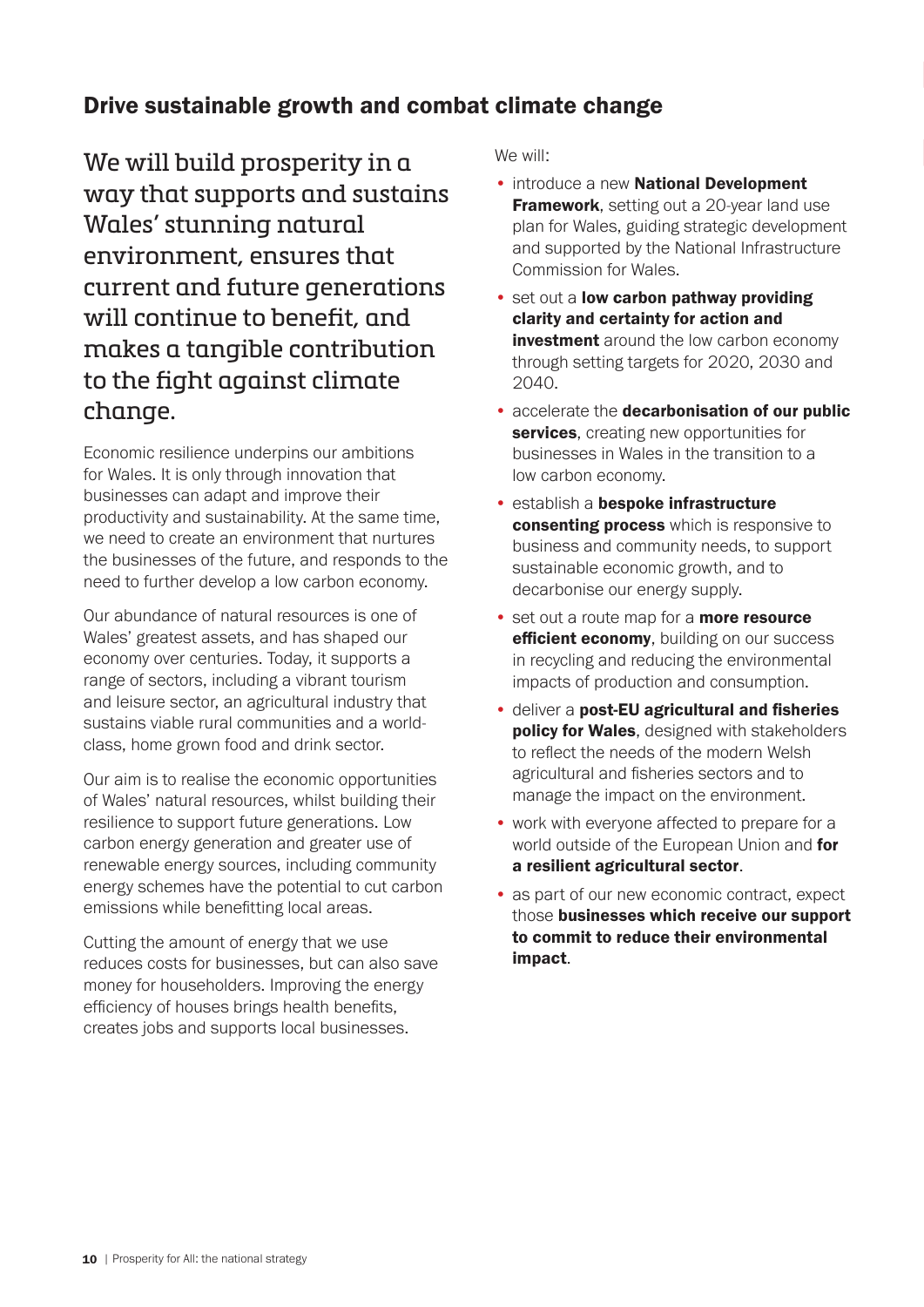# Drive sustainable growth and combat climate change

We will build prosperity in a way that supports and sustains Wales' stunning natural environment, ensures that current and future generations will continue to benefit, and makes a tangible contribution to the fight against climate change.

Economic resilience underpins our ambitions for Wales. It is only through innovation that businesses can adapt and improve their productivity and sustainability. At the same time, we need to create an environment that nurtures the businesses of the future, and responds to the need to further develop a low carbon economy.

Our abundance of natural resources is one of Wales' greatest assets, and has shaped our economy over centuries. Today, it supports a range of sectors, including a vibrant tourism and leisure sector, an agricultural industry that sustains viable rural communities and a worldclass, home grown food and drink sector.

Our aim is to realise the economic opportunities of Wales' natural resources, whilst building their resilience to support future generations. Low carbon energy generation and greater use of renewable energy sources, including community energy schemes have the potential to cut carbon emissions while benefitting local areas.

Cutting the amount of energy that we use reduces costs for businesses, but can also save money for householders. Improving the energy efficiency of houses brings health benefits, creates jobs and supports local businesses.

- introduce a new National Development **Framework**, setting out a 20-year land use plan for Wales, guiding strategic development and supported by the National Infrastructure Commission for Wales.
- set out a low carbon pathway providing clarity and certainty for action and **investment** around the low carbon economy through setting targets for 2020, 2030 and 2040.
- accelerate the decarbonisation of our public services, creating new opportunities for businesses in Wales in the transition to a low carbon economy.
- establish a bespoke infrastructure consenting process which is responsive to business and community needs, to support sustainable economic growth, and to decarbonise our energy supply.
- set out a route map for a **more resource** efficient economy, building on our success in recycling and reducing the environmental impacts of production and consumption.
- deliver a post-EU agricultural and fisheries **policy for Wales**, designed with stakeholders to reflect the needs of the modern Welsh agricultural and fisheries sectors and to manage the impact on the environment.
- work with everyone affected to prepare for a world outside of the European Union and for a resilient agricultural sector.
- as part of our new economic contract, expect those businesses which receive our support to commit to reduce their environmental impact.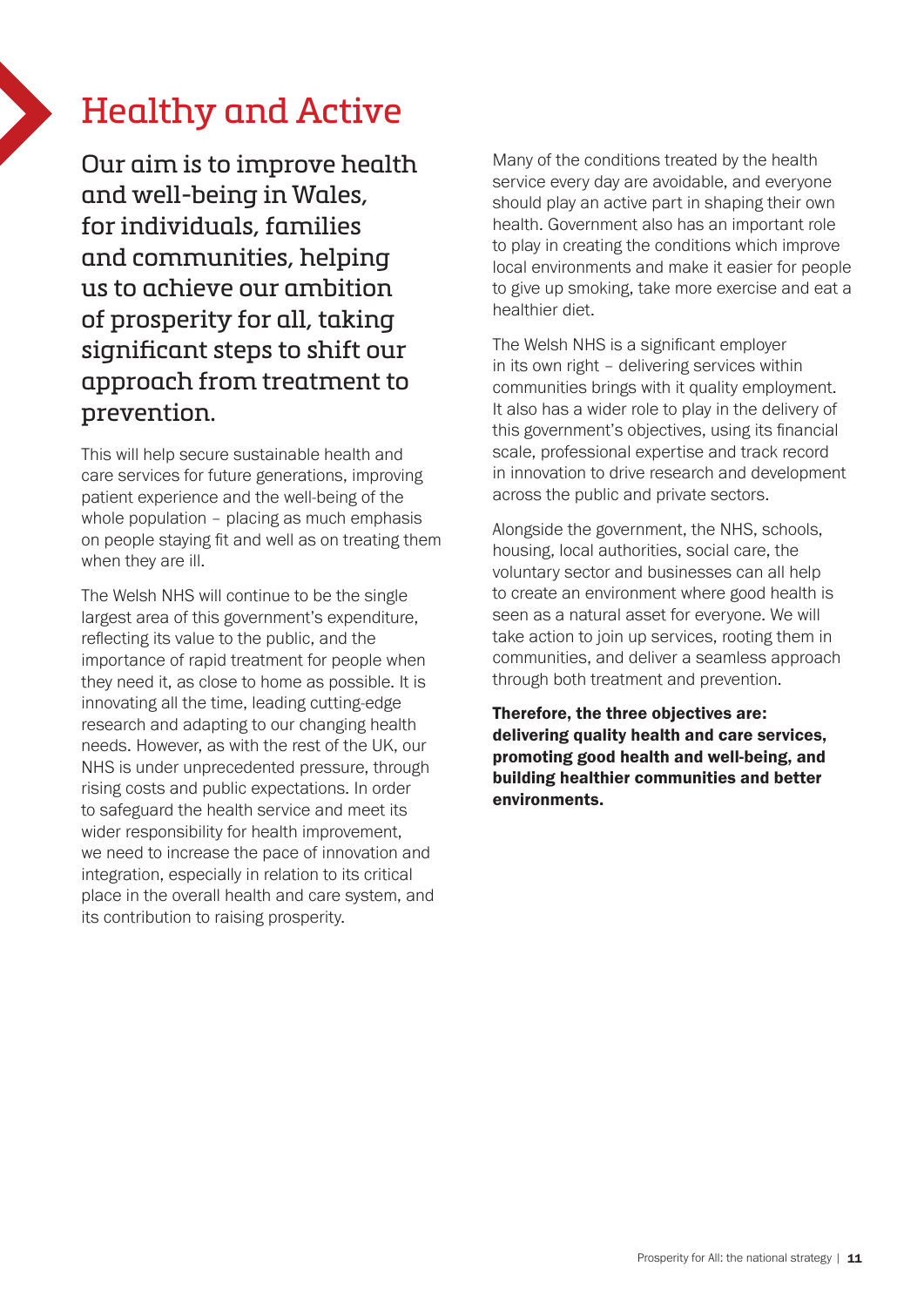# Healthy and Active

Our aim is to improve health and well-being in Wales, for individuals, families and communities, helping us to achieve our ambition of prosperity for all, taking significant steps to shift our approach from treatment to prevention.

This will help secure sustainable health and care services for future generations, improving patient experience and the well-being of the whole population – placing as much emphasis on people staying fit and well as on treating them when they are ill.

The Welsh NHS will continue to be the single largest area of this government's expenditure, reflecting its value to the public, and the importance of rapid treatment for people when they need it, as close to home as possible. It is innovating all the time, leading cutting-edge research and adapting to our changing health needs. However, as with the rest of the UK, our NHS is under unprecedented pressure, through rising costs and public expectations. In order to safeguard the health service and meet its wider responsibility for health improvement, we need to increase the pace of innovation and integration, especially in relation to its critical place in the overall health and care system, and its contribution to raising prosperity.

Many of the conditions treated by the health service every day are avoidable, and everyone should play an active part in shaping their own health. Government also has an important role to play in creating the conditions which improve local environments and make it easier for people to give up smoking, take more exercise and eat a healthier diet.

The Welsh NHS is a significant employer in its own right – delivering services within communities brings with it quality employment. It also has a wider role to play in the delivery of this government's objectives, using its financial scale, professional expertise and track record in innovation to drive research and development across the public and private sectors.

Alongside the government, the NHS, schools, housing, local authorities, social care, the voluntary sector and businesses can all help to create an environment where good health is seen as a natural asset for everyone. We will take action to join up services, rooting them in communities, and deliver a seamless approach through both treatment and prevention.

Therefore, the three objectives are: delivering quality health and care services, promoting good health and well-being, and building healthier communities and better environments.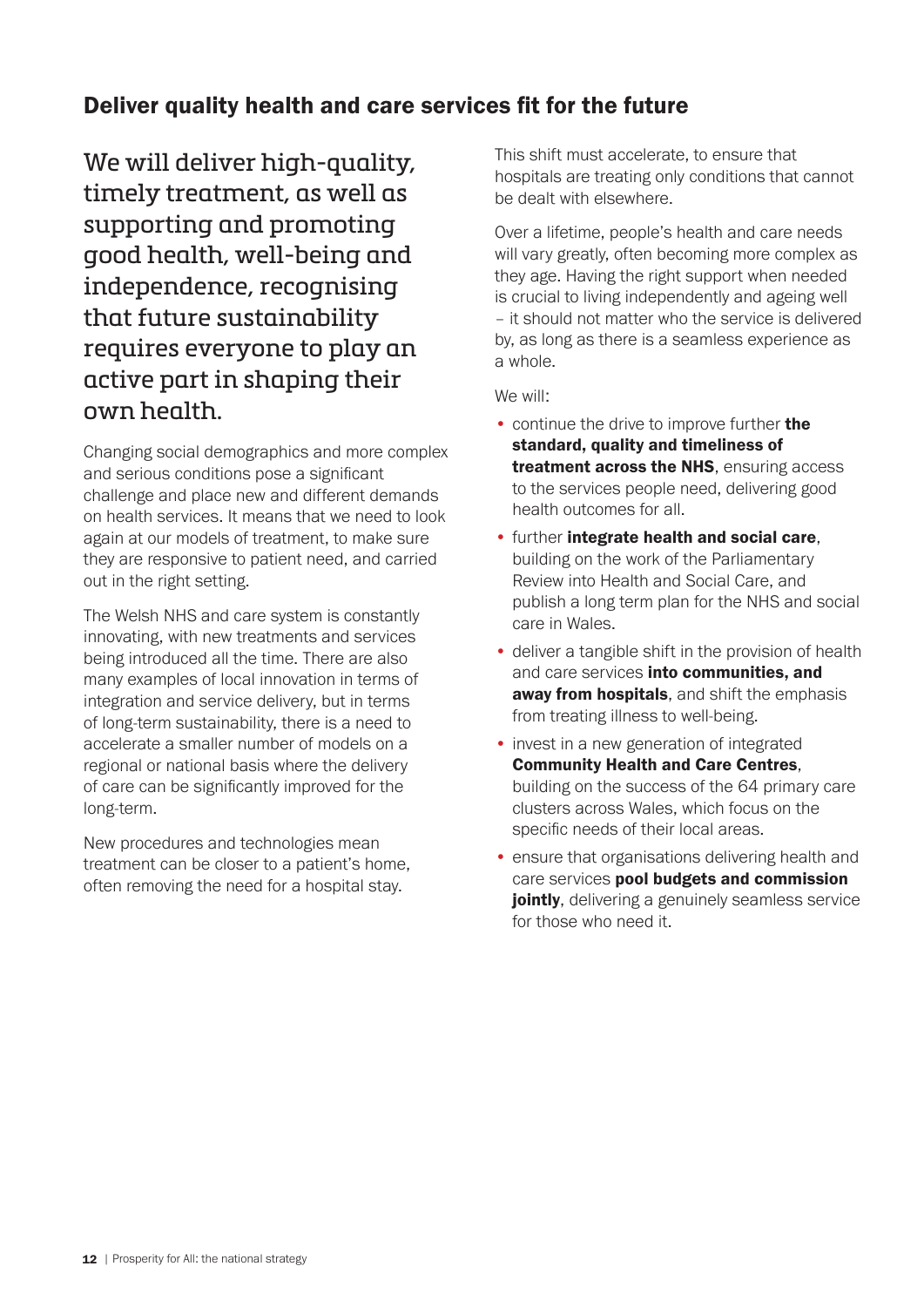### Deliver quality health and care services fit for the future

We will deliver high-quality, timely treatment, as well as supporting and promoting good health, well-being and independence, recognising that future sustainability requires everyone to play an active part in shaping their own health.

Changing social demographics and more complex and serious conditions pose a significant challenge and place new and different demands on health services. It means that we need to look again at our models of treatment, to make sure they are responsive to patient need, and carried out in the right setting.

The Welsh NHS and care system is constantly innovating, with new treatments and services being introduced all the time. There are also many examples of local innovation in terms of integration and service delivery, but in terms of long-term sustainability, there is a need to accelerate a smaller number of models on a regional or national basis where the delivery of care can be significantly improved for the long-term.

New procedures and technologies mean treatment can be closer to a patient's home, often removing the need for a hospital stay.

This shift must accelerate, to ensure that hospitals are treating only conditions that cannot be dealt with elsewhere.

Over a lifetime, people's health and care needs will vary greatly, often becoming more complex as they age. Having the right support when needed is crucial to living independently and ageing well – it should not matter who the service is delivered by, as long as there is a seamless experience as a whole.

- continue the drive to improve further the standard, quality and timeliness of treatment across the NHS, ensuring access to the services people need, delivering good health outcomes for all.
- further integrate health and social care, building on the work of the Parliamentary Review into Health and Social Care, and publish a long term plan for the NHS and social care in Wales.
- deliver a tangible shift in the provision of health and care services into communities, and away from hospitals, and shift the emphasis from treating illness to well-being.
- invest in a new generation of integrated Community Health and Care Centres, building on the success of the 64 primary care clusters across Wales, which focus on the specific needs of their local areas.
- ensure that organisations delivering health and care services pool budgets and commission jointly, delivering a genuinely seamless service for those who need it.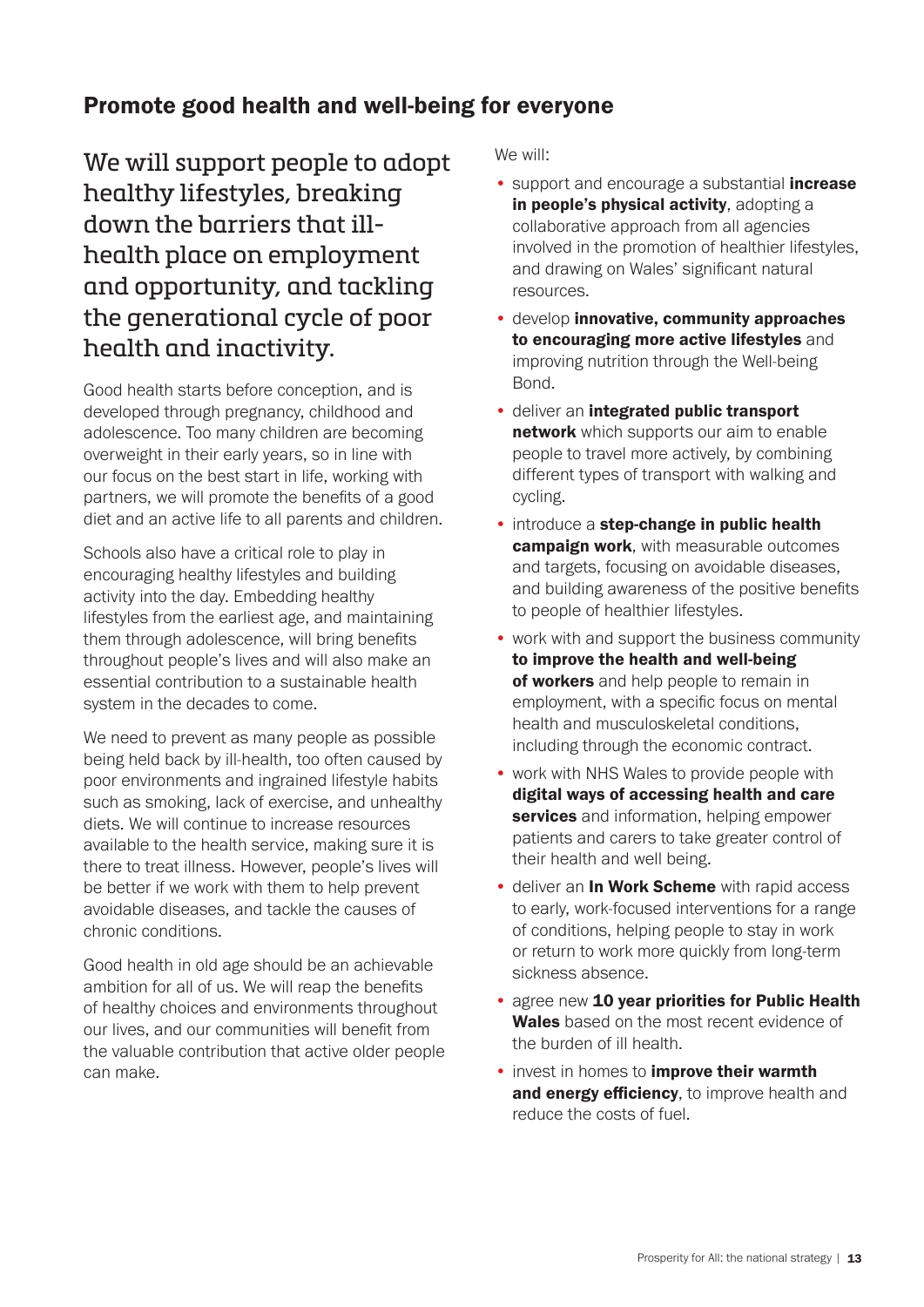### Promote good health and well-being for everyone

We will support people to adopt healthy lifestyles, breaking down the barriers that illhealth place on employment and opportunity, and tackling the generational cycle of poor health and inactivity.

Good health starts before conception, and is developed through pregnancy, childhood and adolescence. Too many children are becoming overweight in their early years, so in line with our focus on the best start in life, working with partners, we will promote the benefits of a good diet and an active life to all parents and children.

Schools also have a critical role to play in encouraging healthy lifestyles and building activity into the day. Embedding healthy lifestyles from the earliest age, and maintaining them through adolescence, will bring benefits throughout people's lives and will also make an essential contribution to a sustainable health system in the decades to come.

We need to prevent as many people as possible being held back by ill-health, too often caused by poor environments and ingrained lifestyle habits such as smoking, lack of exercise, and unhealthy diets. We will continue to increase resources available to the health service, making sure it is there to treat illness. However, people's lives will be better if we work with them to help prevent avoidable diseases, and tackle the causes of chronic conditions.

Good health in old age should be an achievable ambition for all of us. We will reap the benefits of healthy choices and environments throughout our lives, and our communities will benefit from the valuable contribution that active older people can make.

- support and encourage a substantial *increase* in people's physical activity, adopting a collaborative approach from all agencies involved in the promotion of healthier lifestyles, and drawing on Wales' significant natural resources.
- develop innovative, community approaches to encouraging more active lifestyles and improving nutrition through the Well-being Bond.
- deliver an integrated public transport network which supports our aim to enable people to travel more actively, by combining different types of transport with walking and cycling.
- introduce a step-change in public health campaign work, with measurable outcomes and targets, focusing on avoidable diseases, and building awareness of the positive benefits to people of healthier lifestyles.
- work with and support the business community to improve the health and well-being of workers and help people to remain in employment, with a specific focus on mental health and musculoskeletal conditions, including through the economic contract.
- work with NHS Wales to provide people with digital ways of accessing health and care services and information, helping empower patients and carers to take greater control of their health and well being.
- deliver an In Work Scheme with rapid access to early, work-focused interventions for a range of conditions, helping people to stay in work or return to work more quickly from long-term sickness absence.
- agree new 10 year priorities for Public Health Wales based on the most recent evidence of the burden of ill health.
- **invest in homes to improve their warmth** and energy efficiency, to improve health and reduce the costs of fuel.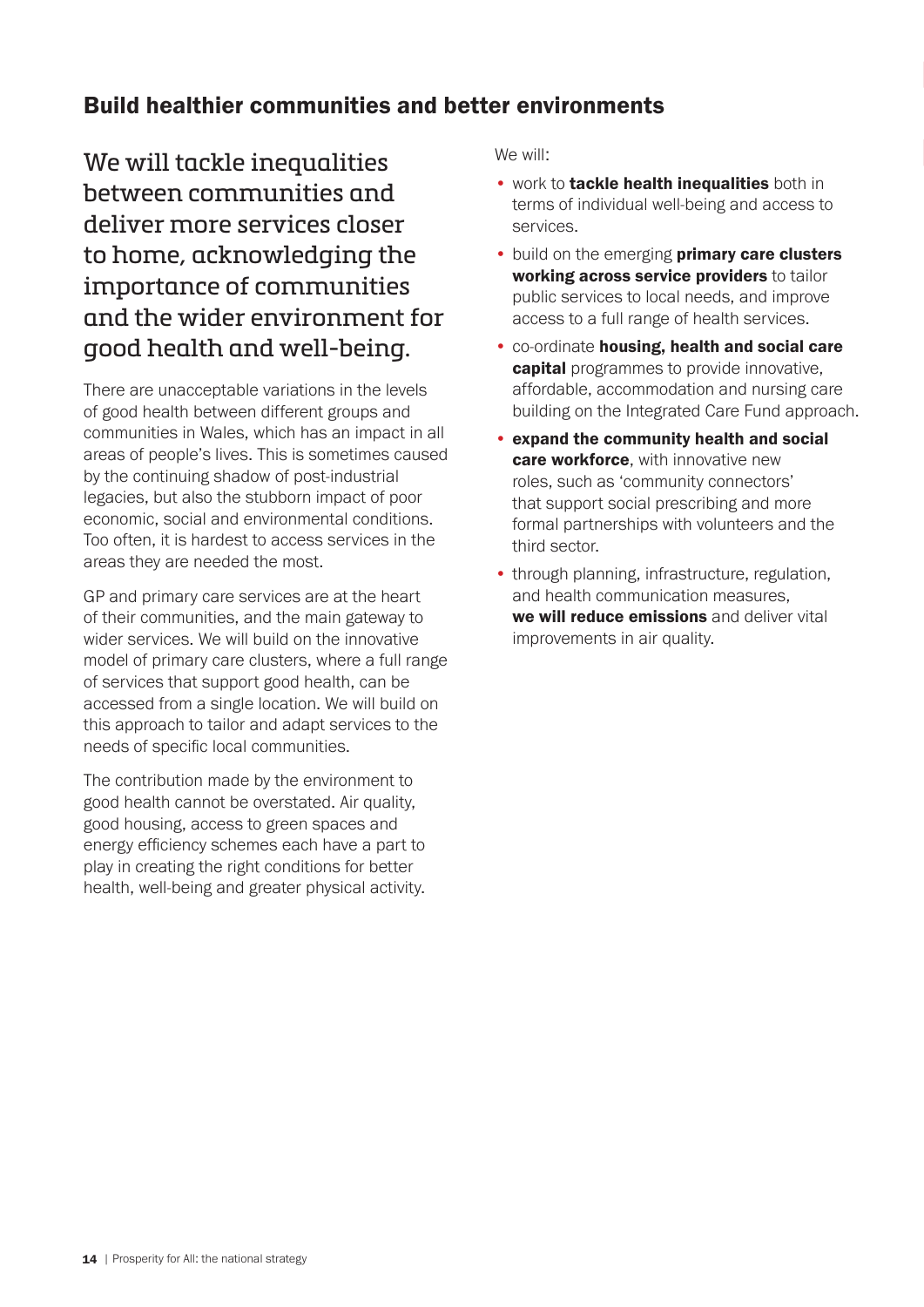# Build healthier communities and better environments

We will tackle inequalities between communities and deliver more services closer to home, acknowledging the importance of communities and the wider environment for good health and well-being.

There are unacceptable variations in the levels of good health between different groups and communities in Wales, which has an impact in all areas of people's lives. This is sometimes caused by the continuing shadow of post-industrial legacies, but also the stubborn impact of poor economic, social and environmental conditions. Too often, it is hardest to access services in the areas they are needed the most.

GP and primary care services are at the heart of their communities, and the main gateway to wider services. We will build on the innovative model of primary care clusters, where a full range of services that support good health, can be accessed from a single location. We will build on this approach to tailor and adapt services to the needs of specific local communities.

The contribution made by the environment to good health cannot be overstated. Air quality, good housing, access to green spaces and energy efficiency schemes each have a part to play in creating the right conditions for better health, well-being and greater physical activity.

- work to **tackle health inequalities** both in terms of individual well-being and access to services.
- build on the emerging primary care clusters working across service providers to tailor public services to local needs, and improve access to a full range of health services.
- co-ordinate housing, health and social care capital programmes to provide innovative, affordable, accommodation and nursing care building on the Integrated Care Fund approach.
- expand the community health and social care workforce, with innovative new roles, such as 'community connectors' that support social prescribing and more formal partnerships with volunteers and the third sector.
- through planning, infrastructure, regulation, and health communication measures, we will reduce emissions and deliver vital improvements in air quality.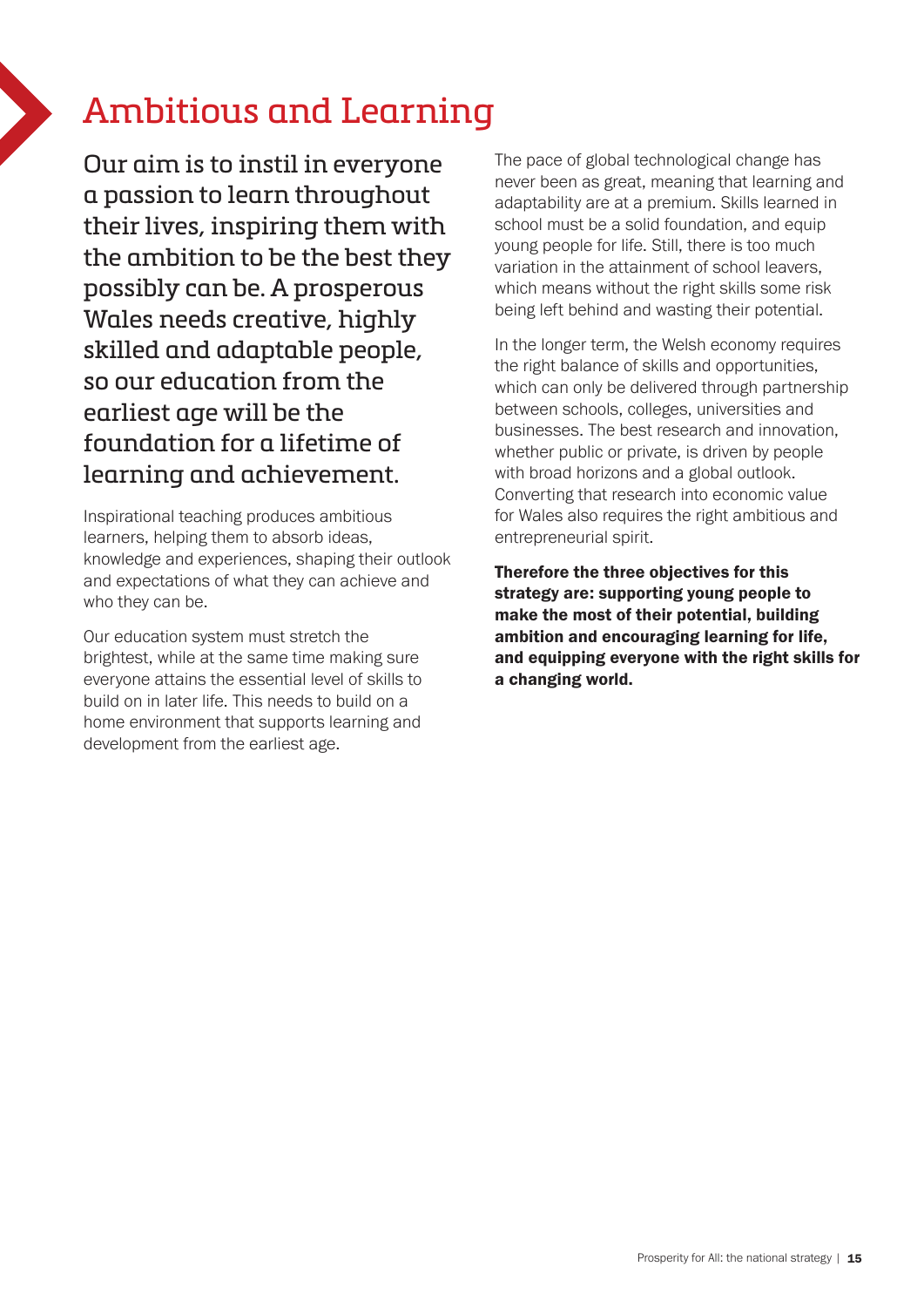# Ambitious and Learning

Our aim is to instil in everyone a passion to learn throughout their lives, inspiring them with the ambition to be the best they possibly can be. A prosperous Wales needs creative, highly skilled and adaptable people, so our education from the earliest age will be the foundation for a lifetime of learning and achievement.

Inspirational teaching produces ambitious learners, helping them to absorb ideas, knowledge and experiences, shaping their outlook and expectations of what they can achieve and who they can be.

Our education system must stretch the brightest, while at the same time making sure everyone attains the essential level of skills to build on in later life. This needs to build on a home environment that supports learning and development from the earliest age.

The pace of global technological change has never been as great, meaning that learning and adaptability are at a premium. Skills learned in school must be a solid foundation, and equip young people for life. Still, there is too much variation in the attainment of school leavers, which means without the right skills some risk being left behind and wasting their potential.

In the longer term, the Welsh economy requires the right balance of skills and opportunities, which can only be delivered through partnership between schools, colleges, universities and businesses. The best research and innovation, whether public or private, is driven by people with broad horizons and a global outlook. Converting that research into economic value for Wales also requires the right ambitious and entrepreneurial spirit.

Therefore the three objectives for this strategy are: supporting young people to make the most of their potential, building ambition and encouraging learning for life, and equipping everyone with the right skills for a changing world.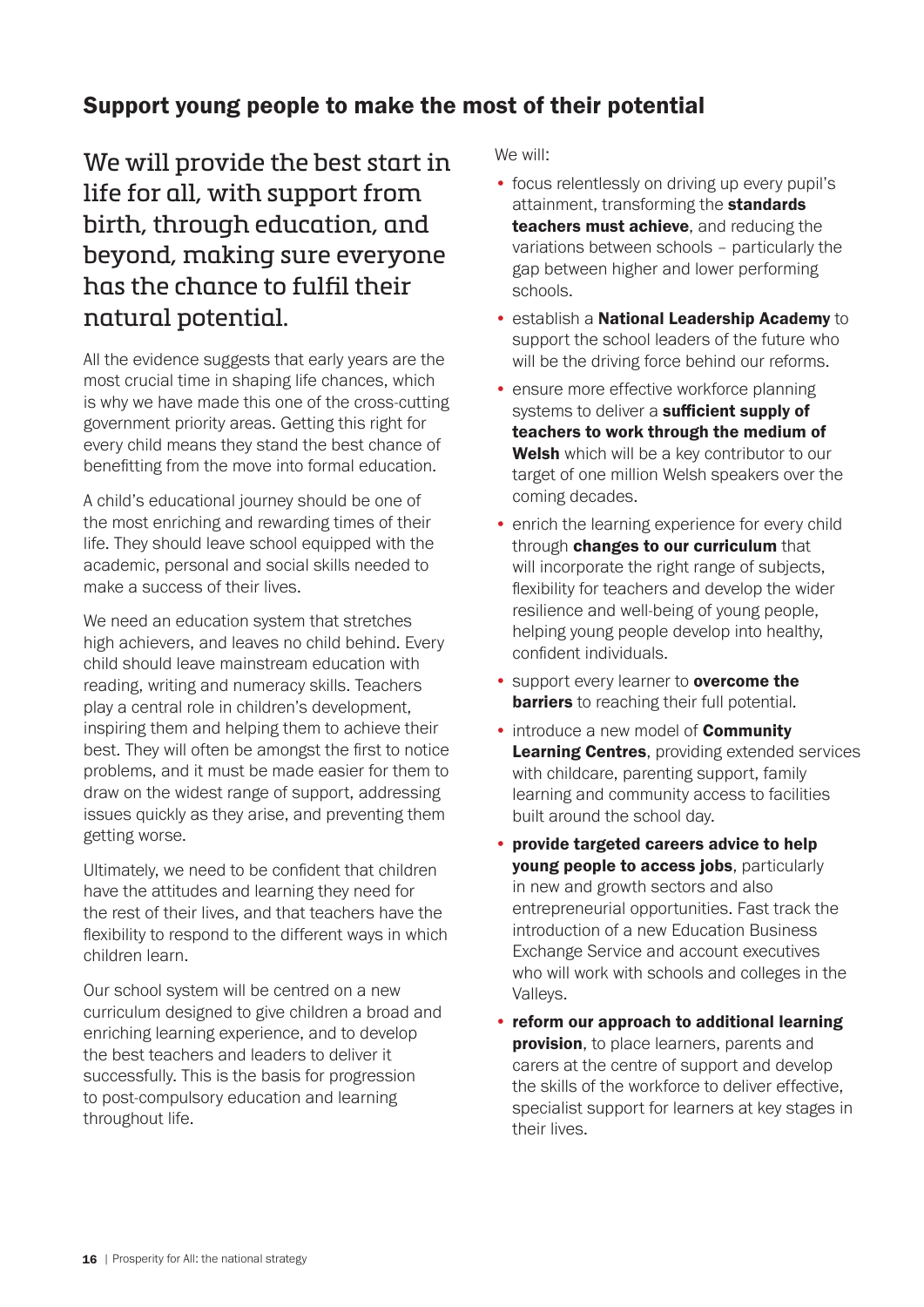# Support young people to make the most of their potential

We will provide the best start in life for all, with support from birth, through education, and beyond, making sure everyone has the chance to fulfil their natural potential.

All the evidence suggests that early years are the most crucial time in shaping life chances, which is why we have made this one of the cross-cutting government priority areas. Getting this right for every child means they stand the best chance of benefitting from the move into formal education.

A child's educational journey should be one of the most enriching and rewarding times of their life. They should leave school equipped with the academic, personal and social skills needed to make a success of their lives.

We need an education system that stretches high achievers, and leaves no child behind. Every child should leave mainstream education with reading, writing and numeracy skills. Teachers play a central role in children's development, inspiring them and helping them to achieve their best. They will often be amongst the first to notice problems, and it must be made easier for them to draw on the widest range of support, addressing issues quickly as they arise, and preventing them getting worse.

Ultimately, we need to be confident that children have the attitudes and learning they need for the rest of their lives, and that teachers have the flexibility to respond to the different ways in which children learn.

Our school system will be centred on a new curriculum designed to give children a broad and enriching learning experience, and to develop the best teachers and leaders to deliver it successfully. This is the basis for progression to post-compulsory education and learning throughout life.

- focus relentlessly on driving up every pupil's attainment, transforming the **standards** teachers must achieve, and reducing the variations between schools – particularly the gap between higher and lower performing schools.
- establish a National Leadership Academy to support the school leaders of the future who will be the driving force behind our reforms.
- ensure more effective workforce planning systems to deliver a sufficient supply of teachers to work through the medium of Welsh which will be a key contributor to our target of one million Welsh speakers over the coming decades.
- enrich the learning experience for every child through changes to our curriculum that will incorporate the right range of subjects, flexibility for teachers and develop the wider resilience and well-being of young people, helping young people develop into healthy, confident individuals.
- support every learner to **overcome the barriers** to reaching their full potential.
- introduce a new model of **Community** Learning Centres, providing extended services with childcare, parenting support, family learning and community access to facilities built around the school day.
- provide targeted careers advice to help young people to access jobs, particularly in new and growth sectors and also entrepreneurial opportunities. Fast track the introduction of a new Education Business Exchange Service and account executives who will work with schools and colleges in the Valleys.
- reform our approach to additional learning provision, to place learners, parents and carers at the centre of support and develop the skills of the workforce to deliver effective, specialist support for learners at key stages in their lives.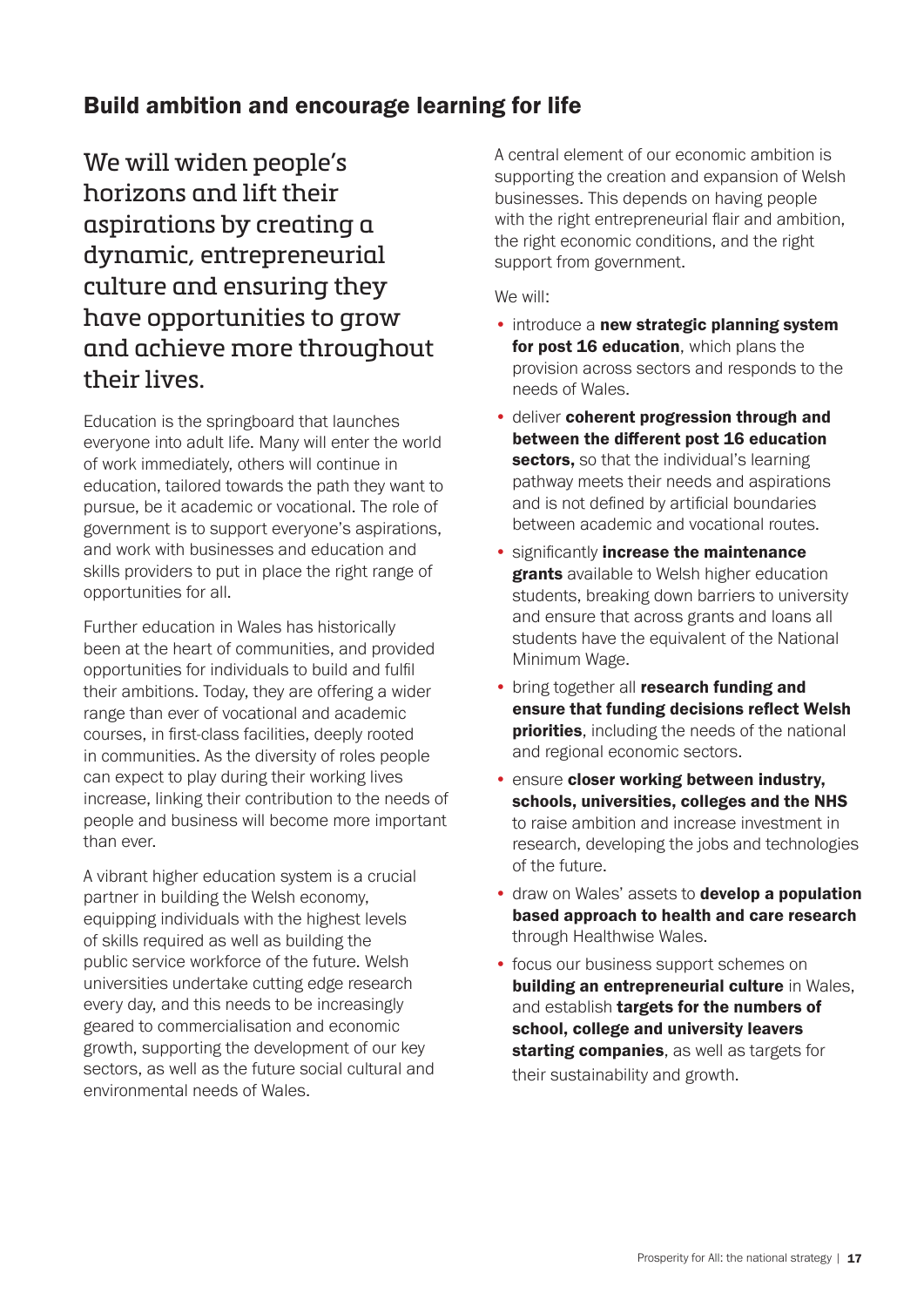# Build ambition and encourage learning for life

We will widen people's horizons and lift their aspirations by creating a dynamic, entrepreneurial culture and ensuring they have opportunities to grow and achieve more throughout their lives.

Education is the springboard that launches everyone into adult life. Many will enter the world of work immediately, others will continue in education, tailored towards the path they want to pursue, be it academic or vocational. The role of government is to support everyone's aspirations, and work with businesses and education and skills providers to put in place the right range of opportunities for all.

Further education in Wales has historically been at the heart of communities, and provided opportunities for individuals to build and fulfil their ambitions. Today, they are offering a wider range than ever of vocational and academic courses, in first-class facilities, deeply rooted in communities. As the diversity of roles people can expect to play during their working lives increase, linking their contribution to the needs of people and business will become more important than ever.

A vibrant higher education system is a crucial partner in building the Welsh economy, equipping individuals with the highest levels of skills required as well as building the public service workforce of the future. Welsh universities undertake cutting edge research every day, and this needs to be increasingly geared to commercialisation and economic growth, supporting the development of our key sectors, as well as the future social cultural and environmental needs of Wales.

A central element of our economic ambition is supporting the creation and expansion of Welsh businesses. This depends on having people with the right entrepreneurial flair and ambition, the right economic conditions, and the right support from government.

- introduce a new strategic planning system for post 16 education, which plans the provision across sectors and responds to the needs of Wales.
- deliver coherent progression through and between the different post 16 education sectors, so that the individual's learning pathway meets their needs and aspirations and is not defined by artificial boundaries between academic and vocational routes.
- significantly increase the maintenance **grants** available to Welsh higher education students, breaking down barriers to university and ensure that across grants and loans all students have the equivalent of the National Minimum Wage.
- bring together all research funding and ensure that funding decisions reflect Welsh **priorities**, including the needs of the national and regional economic sectors.
- ensure closer working between industry, schools, universities, colleges and the NHS to raise ambition and increase investment in research, developing the jobs and technologies of the future.
- draw on Wales' assets to **develop a population** based approach to health and care research through Healthwise Wales.
- focus our business support schemes on building an entrepreneurial culture in Wales. and establish targets for the numbers of school, college and university leavers starting companies, as well as targets for their sustainability and growth.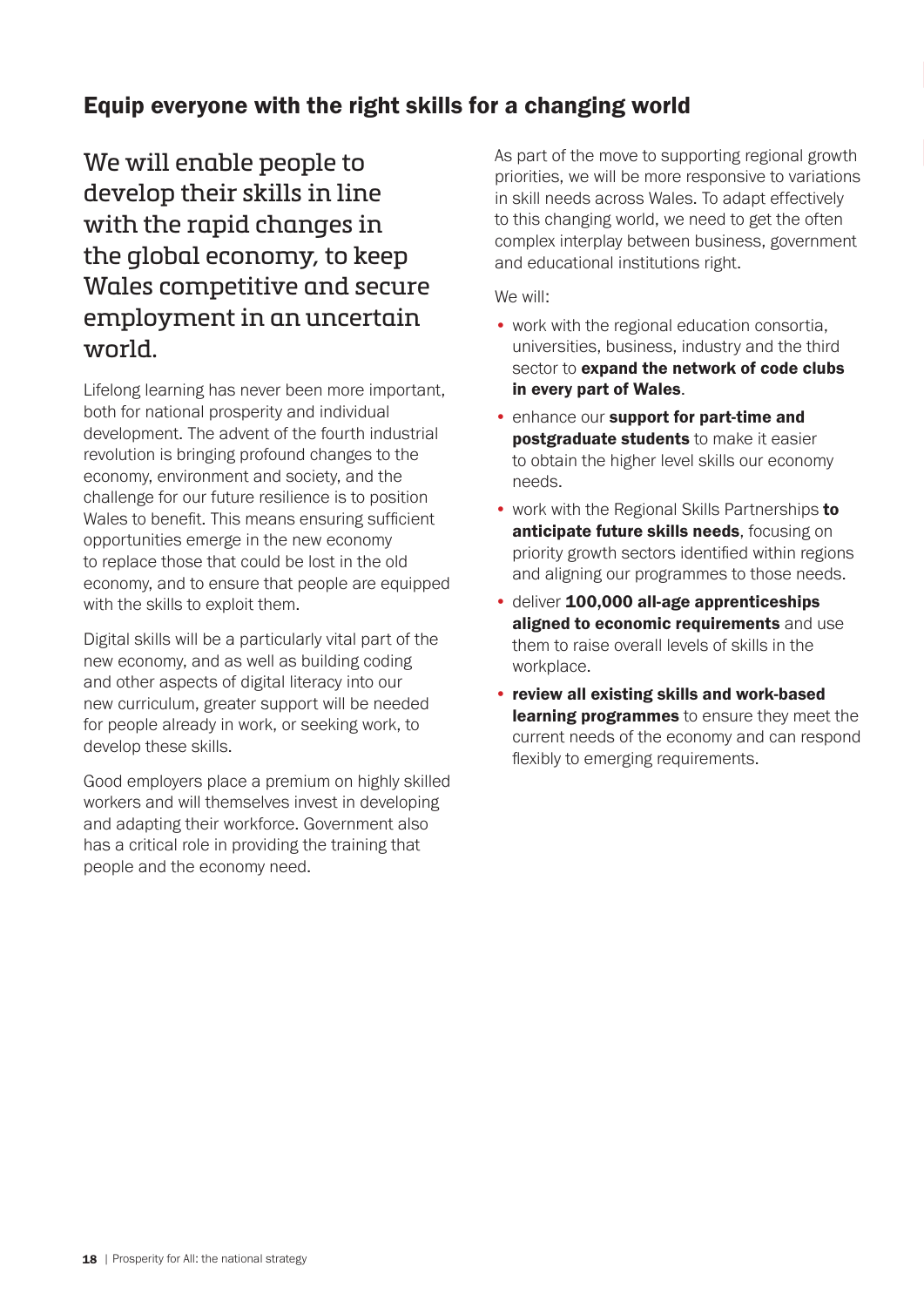# Equip everyone with the right skills for a changing world

We will enable people to develop their skills in line with the rapid changes in the global economy, to keep Wales competitive and secure employment in an uncertain world.

Lifelong learning has never been more important, both for national prosperity and individual development. The advent of the fourth industrial revolution is bringing profound changes to the economy, environment and society, and the challenge for our future resilience is to position Wales to benefit. This means ensuring sufficient opportunities emerge in the new economy to replace those that could be lost in the old economy, and to ensure that people are equipped with the skills to exploit them.

Digital skills will be a particularly vital part of the new economy, and as well as building coding and other aspects of digital literacy into our new curriculum, greater support will be needed for people already in work, or seeking work, to develop these skills.

Good employers place a premium on highly skilled workers and will themselves invest in developing and adapting their workforce. Government also has a critical role in providing the training that people and the economy need.

As part of the move to supporting regional growth priorities, we will be more responsive to variations in skill needs across Wales. To adapt effectively to this changing world, we need to get the often complex interplay between business, government and educational institutions right.

- work with the regional education consortia, universities, business, industry and the third sector to expand the network of code clubs in every part of Wales.
- enhance our support for part-time and **postgraduate students** to make it easier to obtain the higher level skills our economy needs.
- work with the Regional Skills Partnerships to anticipate future skills needs, focusing on priority growth sectors identified within regions and aligning our programmes to those needs.
- deliver 100,000 all-age apprenticeships aligned to economic requirements and use them to raise overall levels of skills in the workplace.
- review all existing skills and work-based learning programmes to ensure they meet the current needs of the economy and can respond flexibly to emerging requirements.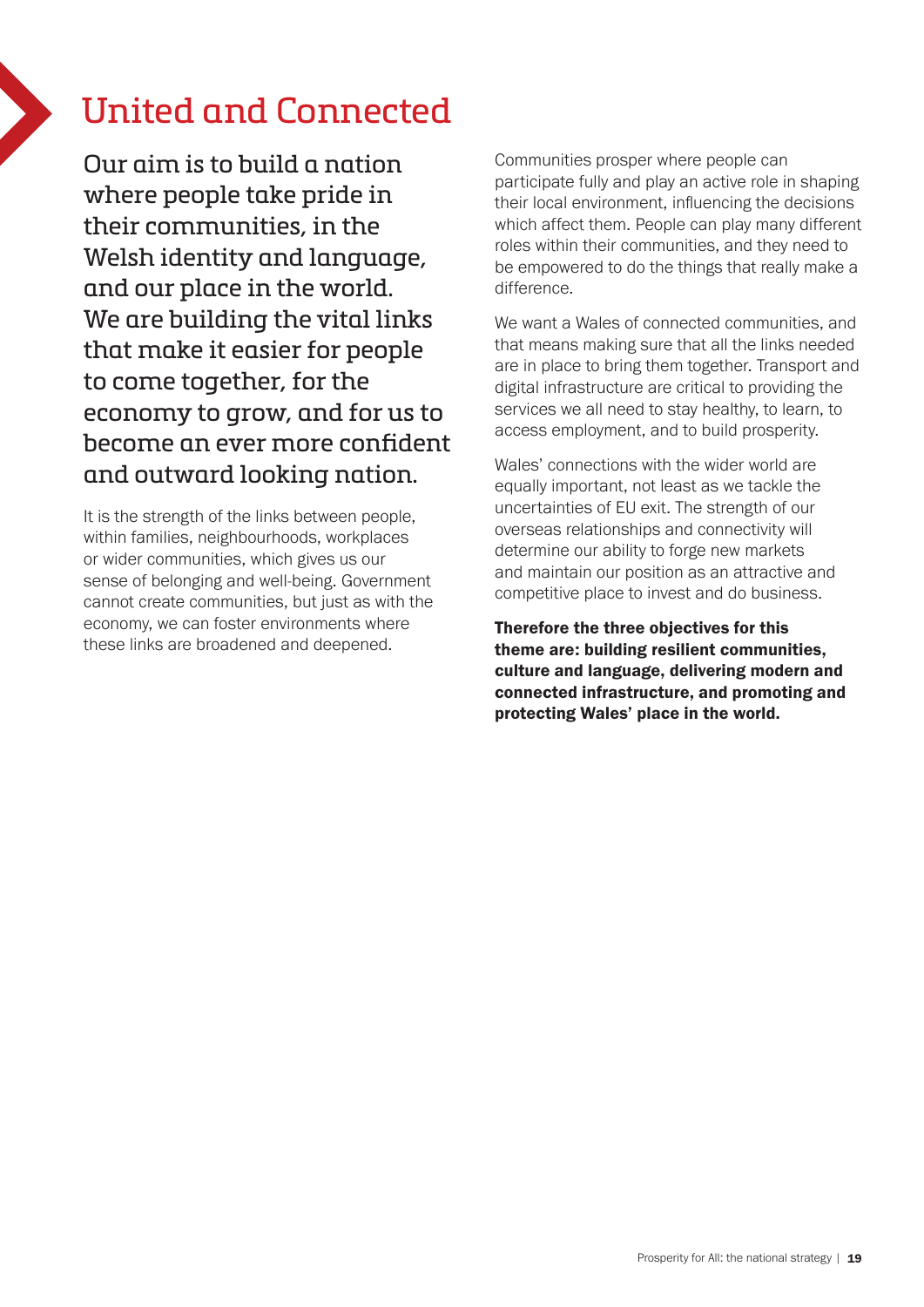# United and Connected

Our aim is to build a nation where people take pride in their communities, in the Welsh identity and language, and our place in the world. We are building the vital links that make it easier for people to come together, for the economy to grow, and for us to become an ever more confident and outward looking nation.

It is the strength of the links between people, within families, neighbourhoods, workplaces or wider communities, which gives us our sense of belonging and well-being. Government cannot create communities, but just as with the economy, we can foster environments where these links are broadened and deepened.

Communities prosper where people can participate fully and play an active role in shaping their local environment, influencing the decisions which affect them. People can play many different roles within their communities, and they need to be empowered to do the things that really make a difference.

We want a Wales of connected communities, and that means making sure that all the links needed are in place to bring them together. Transport and digital infrastructure are critical to providing the services we all need to stay healthy, to learn, to access employment, and to build prosperity.

Wales' connections with the wider world are equally important, not least as we tackle the uncertainties of EU exit. The strength of our overseas relationships and connectivity will determine our ability to forge new markets and maintain our position as an attractive and competitive place to invest and do business.

Therefore the three objectives for this theme are: building resilient communities, culture and language, delivering modern and connected infrastructure, and promoting and protecting Wales' place in the world.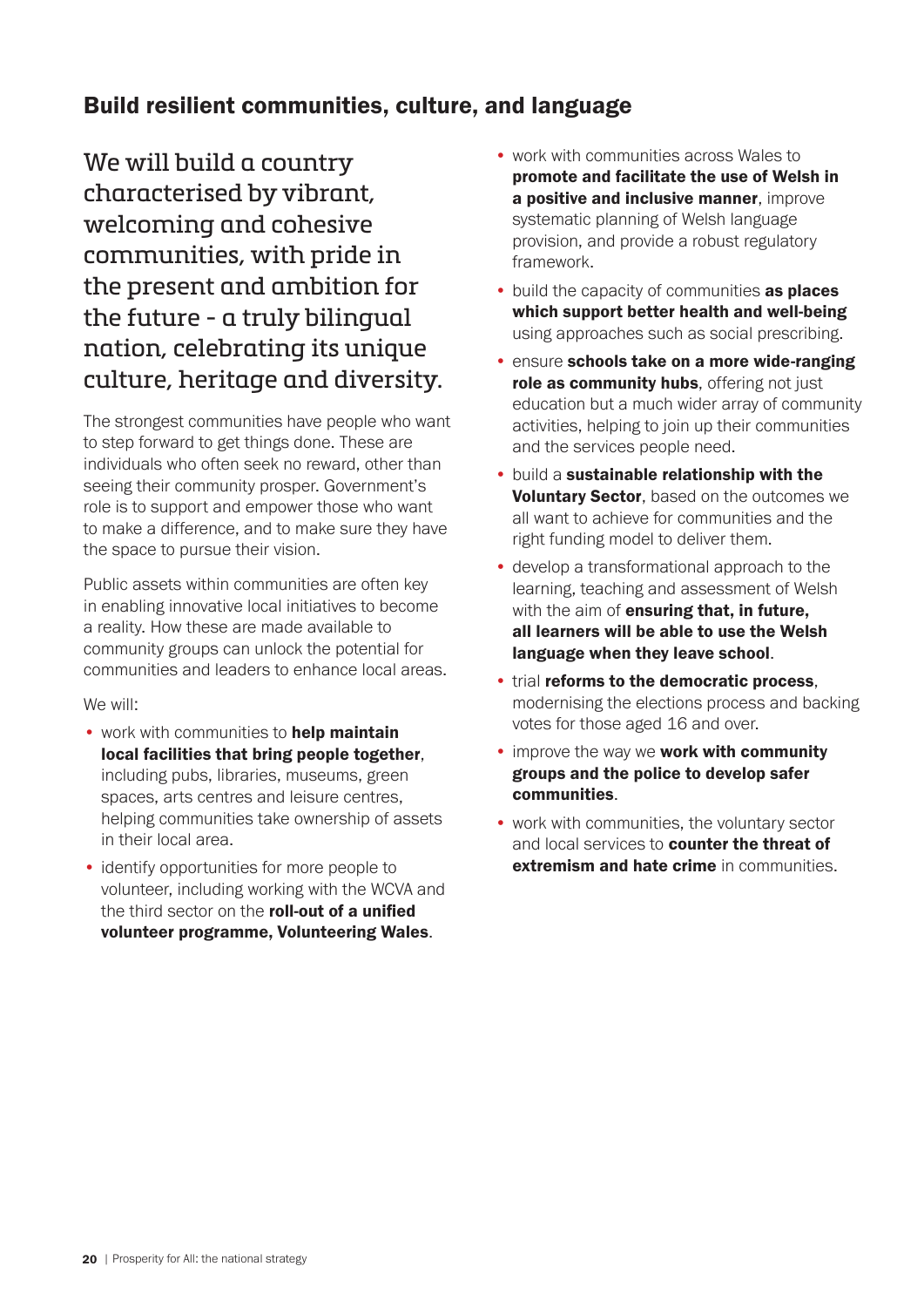# Build resilient communities, culture, and language

We will build a country characterised by vibrant, welcoming and cohesive communities, with pride in the present and ambition for the future - a truly bilingual nation, celebrating its unique culture, heritage and diversity.

The strongest communities have people who want to step forward to get things done. These are individuals who often seek no reward, other than seeing their community prosper. Government's role is to support and empower those who want to make a difference, and to make sure they have the space to pursue their vision.

Public assets within communities are often key in enabling innovative local initiatives to become a reality. How these are made available to community groups can unlock the potential for communities and leaders to enhance local areas.

- work with communities to help maintain local facilities that bring people together, including pubs, libraries, museums, green spaces, arts centres and leisure centres, helping communities take ownership of assets in their local area.
- identify opportunities for more people to volunteer, including working with the WCVA and the third sector on the roll-out of a unified volunteer programme, Volunteering Wales.
- work with communities across Wales to promote and facilitate the use of Welsh in a positive and inclusive manner, improve systematic planning of Welsh language provision, and provide a robust regulatory framework.
- build the capacity of communities as places which support better health and well-being using approaches such as social prescribing.
- ensure schools take on a more wide-ranging role as community hubs, offering not just education but a much wider array of community activities, helping to join up their communities and the services people need.
- build a sustainable relationship with the Voluntary Sector, based on the outcomes we all want to achieve for communities and the right funding model to deliver them.
- develop a transformational approach to the learning, teaching and assessment of Welsh with the aim of ensuring that, in future, all learners will be able to use the Welsh language when they leave school.
- trial reforms to the democratic process, modernising the elections process and backing votes for those aged 16 and over.
- **improve the way we work with community** groups and the police to develop safer communities.
- work with communities, the voluntary sector and local services to **counter the threat of** extremism and hate crime in communities.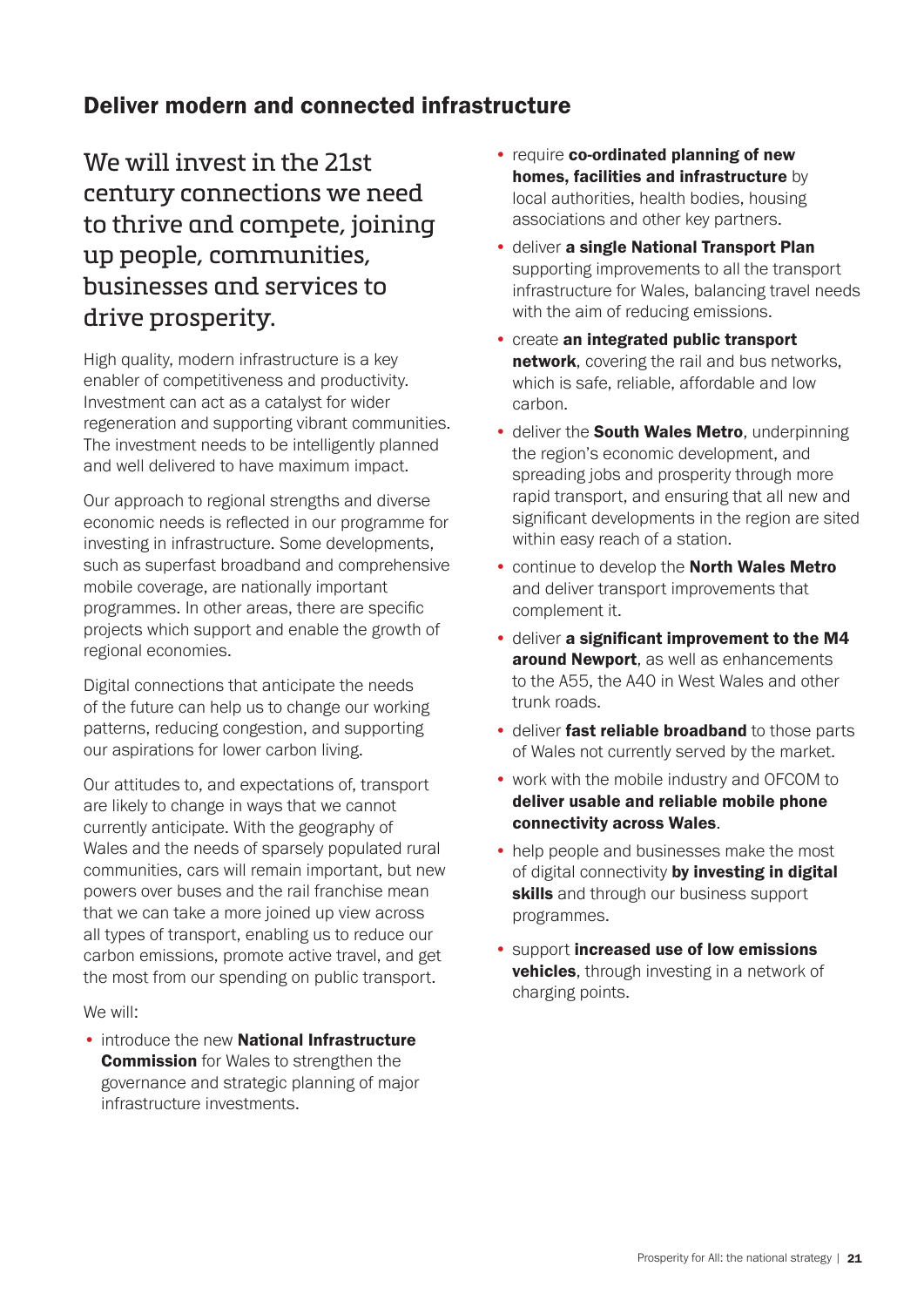### Deliver modern and connected infrastructure

We will invest in the 21st century connections we need to thrive and compete, joining up people, communities, businesses and services to drive prosperity.

High quality, modern infrastructure is a key enabler of competitiveness and productivity. Investment can act as a catalyst for wider regeneration and supporting vibrant communities. The investment needs to be intelligently planned and well delivered to have maximum impact.

Our approach to regional strengths and diverse economic needs is reflected in our programme for investing in infrastructure. Some developments, such as superfast broadband and comprehensive mobile coverage, are nationally important programmes. In other areas, there are specific projects which support and enable the growth of regional economies.

Digital connections that anticipate the needs of the future can help us to change our working patterns, reducing congestion, and supporting our aspirations for lower carbon living.

Our attitudes to, and expectations of, transport are likely to change in ways that we cannot currently anticipate. With the geography of Wales and the needs of sparsely populated rural communities, cars will remain important, but new powers over buses and the rail franchise mean that we can take a more joined up view across all types of transport, enabling us to reduce our carbon emissions, promote active travel, and get the most from our spending on public transport.

We will:

• introduce the new **National Infrastructure Commission** for Wales to strengthen the governance and strategic planning of major infrastructure investments.

- require co-ordinated planning of new homes, facilities and infrastructure by local authorities, health bodies, housing associations and other key partners.
- deliver a single National Transport Plan supporting improvements to all the transport infrastructure for Wales, balancing travel needs with the aim of reducing emissions.
- create an integrated public transport network, covering the rail and bus networks, which is safe, reliable, affordable and low carbon.
- deliver the **South Wales Metro**, underpinning the region's economic development, and spreading jobs and prosperity through more rapid transport, and ensuring that all new and significant developments in the region are sited within easy reach of a station.
- continue to develop the North Wales Metro and deliver transport improvements that complement it.
- deliver a significant improvement to the M4 around Newport, as well as enhancements to the A55, the A40 in West Wales and other trunk roads.
- deliver fast reliable broadband to those parts of Wales not currently served by the market.
- work with the mobile industry and OFCOM to deliver usable and reliable mobile phone connectivity across Wales.
- help people and businesses make the most of digital connectivity by investing in digital skills and through our business support programmes.
- support increased use of low emissions **vehicles**, through investing in a network of charging points.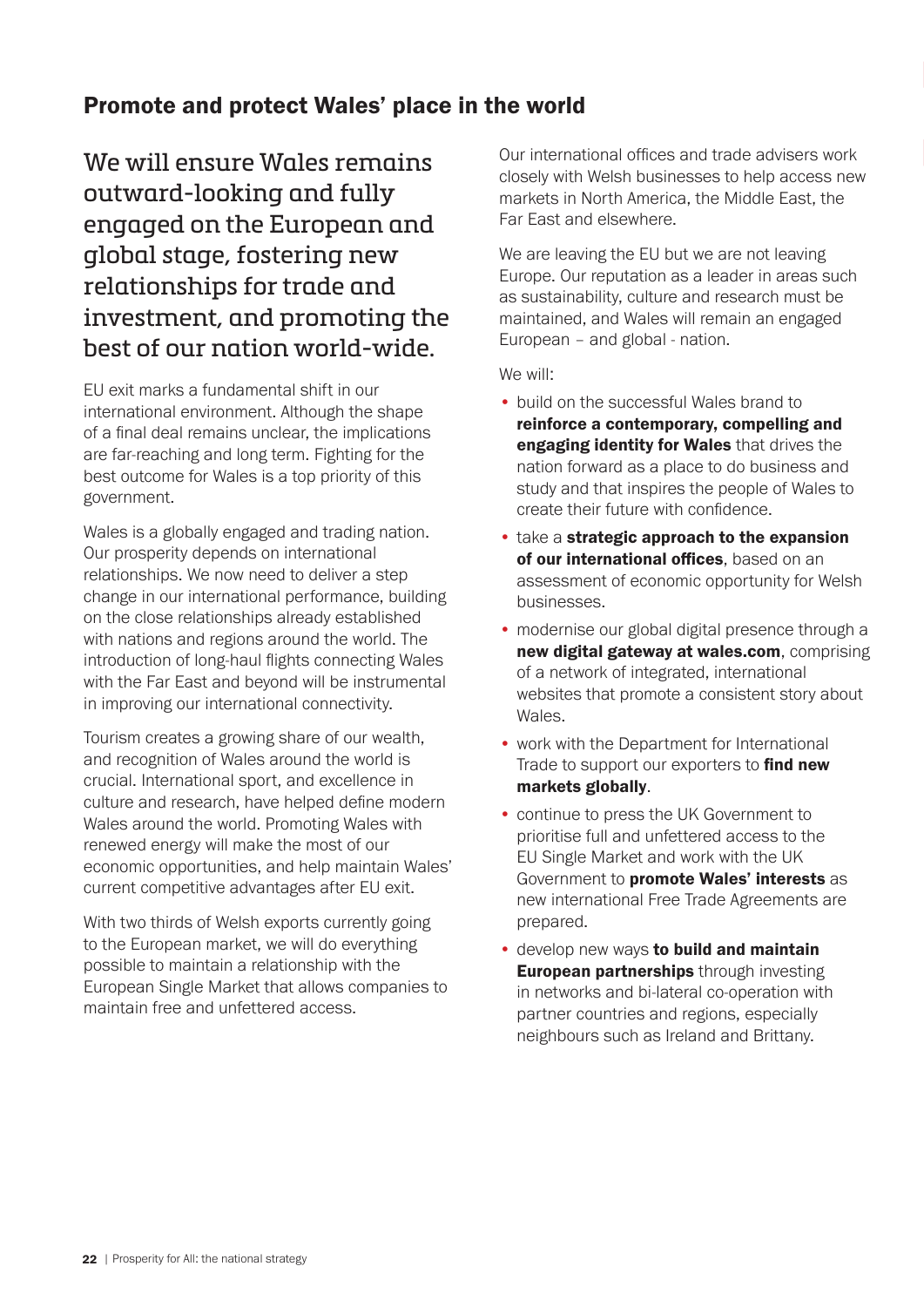### Promote and protect Wales' place in the world

We will ensure Wales remains outward-looking and fully engaged on the European and global stage, fostering new relationships for trade and investment, and promoting the best of our nation world-wide.

EU exit marks a fundamental shift in our international environment. Although the shape of a final deal remains unclear, the implications are far-reaching and long term. Fighting for the best outcome for Wales is a top priority of this government.

Wales is a globally engaged and trading nation. Our prosperity depends on international relationships. We now need to deliver a step change in our international performance, building on the close relationships already established with nations and regions around the world. The introduction of long-haul flights connecting Wales with the Far East and beyond will be instrumental in improving our international connectivity.

Tourism creates a growing share of our wealth, and recognition of Wales around the world is crucial. International sport, and excellence in culture and research, have helped define modern Wales around the world. Promoting Wales with renewed energy will make the most of our economic opportunities, and help maintain Wales' current competitive advantages after EU exit.

With two thirds of Welsh exports currently going to the European market, we will do everything possible to maintain a relationship with the European Single Market that allows companies to maintain free and unfettered access.

Our international offices and trade advisers work closely with Welsh businesses to help access new markets in North America, the Middle East, the Far East and elsewhere.

We are leaving the EU but we are not leaving Europe. Our reputation as a leader in areas such as sustainability, culture and research must be maintained, and Wales will remain an engaged European – and global - nation.

- build on the successful Wales brand to reinforce a contemporary, compelling and engaging identity for Wales that drives the nation forward as a place to do business and study and that inspires the people of Wales to create their future with confidence.
- take a strategic approach to the expansion of our international offices, based on an assessment of economic opportunity for Welsh businesses.
- modernise our global digital presence through a new digital gateway at wales.com, comprising of a network of integrated, international websites that promote a consistent story about Wales.
- work with the Department for International Trade to support our exporters to find new markets globally.
- continue to press the UK Government to prioritise full and unfettered access to the EU Single Market and work with the UK Government to promote Wales' interests as new international Free Trade Agreements are prepared.
- **develop new ways to build and maintain European partnerships** through investing in networks and bi-lateral co-operation with partner countries and regions, especially neighbours such as Ireland and Brittany.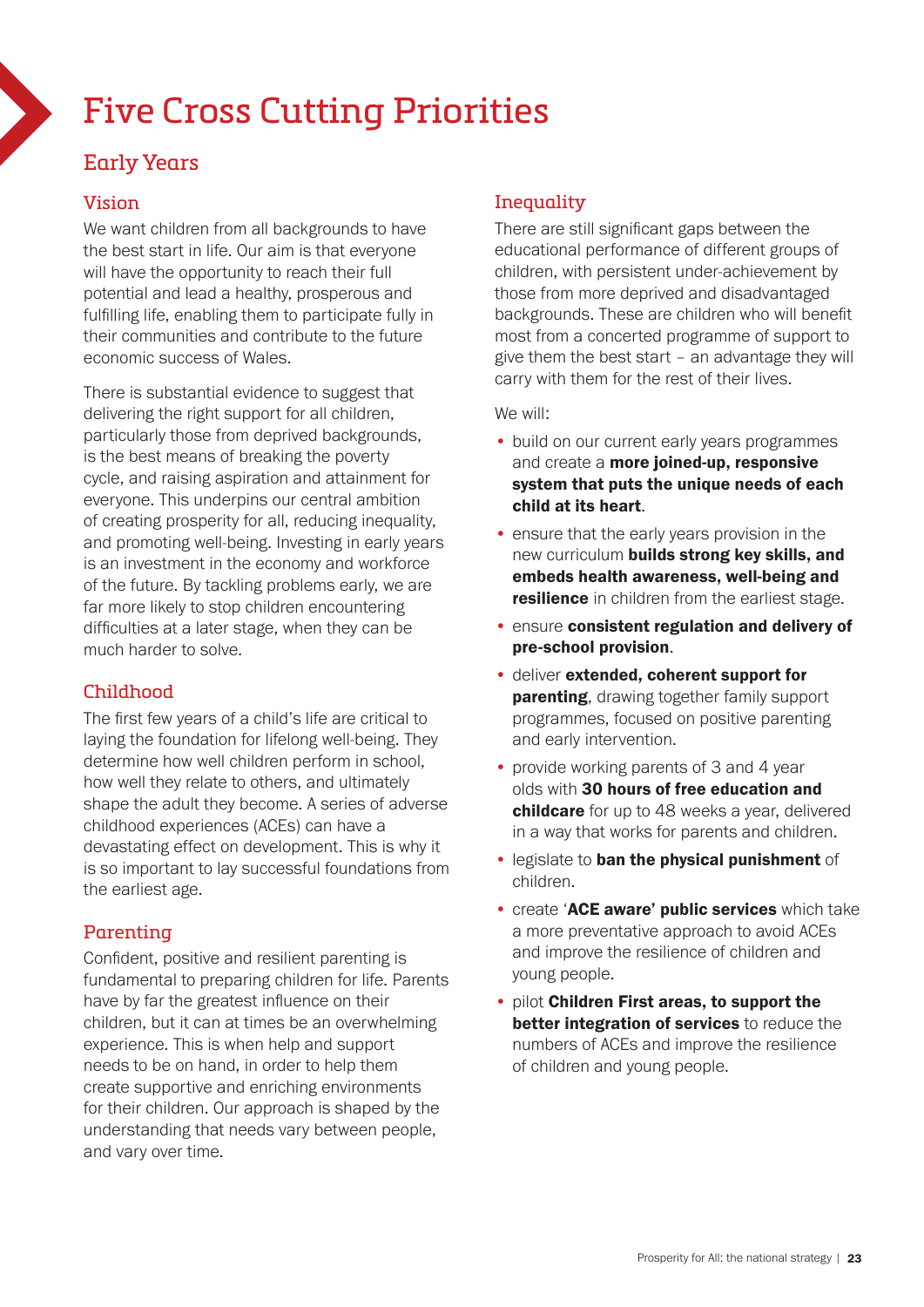# Five Cross Cutting Priorities

### Early Years

#### Vision

We want children from all backgrounds to have the best start in life. Our aim is that everyone will have the opportunity to reach their full potential and lead a healthy, prosperous and fulfilling life, enabling them to participate fully in their communities and contribute to the future economic success of Wales.

There is substantial evidence to suggest that delivering the right support for all children, particularly those from deprived backgrounds, is the best means of breaking the poverty cycle, and raising aspiration and attainment for everyone. This underpins our central ambition of creating prosperity for all, reducing inequality, and promoting well-being. Investing in early years is an investment in the economy and workforce of the future. By tackling problems early, we are far more likely to stop children encountering difficulties at a later stage, when they can be much harder to solve.

#### Childhood

The first few years of a child's life are critical to laying the foundation for lifelong well-being. They determine how well children perform in school, how well they relate to others, and ultimately shape the adult they become. A series of adverse childhood experiences (ACEs) can have a devastating effect on development. This is why it is so important to lay successful foundations from the earliest age.

#### Parenting

Confident, positive and resilient parenting is fundamental to preparing children for life. Parents have by far the greatest influence on their children, but it can at times be an overwhelming experience. This is when help and support needs to be on hand, in order to help them create supportive and enriching environments for their children. Our approach is shaped by the understanding that needs vary between people, and vary over time.

#### **Inequality**

There are still significant gaps between the educational performance of different groups of children, with persistent under-achievement by those from more deprived and disadvantaged backgrounds. These are children who will benefit most from a concerted programme of support to give them the best start – an advantage they will carry with them for the rest of their lives.

- build on our current early years programmes and create a more joined-up, responsive system that puts the unique needs of each child at its heart.
- ensure that the early years provision in the new curriculum builds strong key skills, and embeds health awareness, well-being and resilience in children from the earliest stage.
- ensure consistent regulation and delivery of pre-school provision.
- deliver extended, coherent support for **parenting**, drawing together family support programmes, focused on positive parenting and early intervention.
- provide working parents of 3 and 4 year olds with 30 hours of free education and childcare for up to 48 weeks a year, delivered in a way that works for parents and children.
- legislate to ban the physical punishment of children.
- create 'ACE aware' public services which take a more preventative approach to avoid ACEs and improve the resilience of children and young people.
- pilot Children First areas, to support the better integration of services to reduce the numbers of ACEs and improve the resilience of children and young people.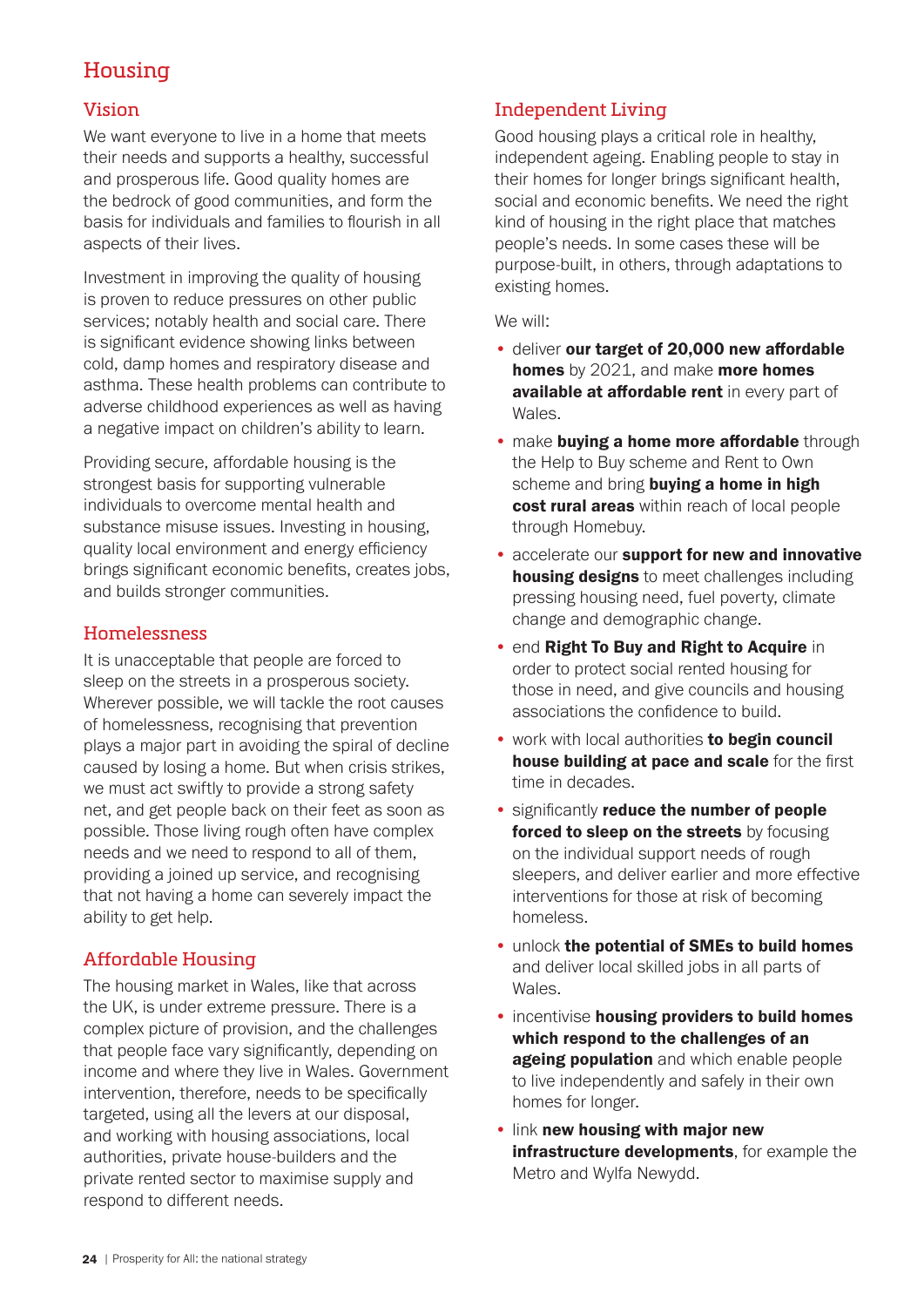# Housing

#### Vision

We want everyone to live in a home that meets their needs and supports a healthy, successful and prosperous life. Good quality homes are the bedrock of good communities, and form the basis for individuals and families to flourish in all aspects of their lives.

Investment in improving the quality of housing is proven to reduce pressures on other public services; notably health and social care. There is significant evidence showing links between cold, damp homes and respiratory disease and asthma. These health problems can contribute to adverse childhood experiences as well as having a negative impact on children's ability to learn.

Providing secure, affordable housing is the strongest basis for supporting vulnerable individuals to overcome mental health and substance misuse issues. Investing in housing, quality local environment and energy efficiency brings significant economic benefits, creates jobs, and builds stronger communities.

#### Homelessness

It is unacceptable that people are forced to sleep on the streets in a prosperous society. Wherever possible, we will tackle the root causes of homelessness, recognising that prevention plays a major part in avoiding the spiral of decline caused by losing a home. But when crisis strikes, we must act swiftly to provide a strong safety net, and get people back on their feet as soon as possible. Those living rough often have complex needs and we need to respond to all of them, providing a joined up service, and recognising that not having a home can severely impact the ability to get help.

#### Affordable Housing

The housing market in Wales, like that across the UK, is under extreme pressure. There is a complex picture of provision, and the challenges that people face vary significantly, depending on income and where they live in Wales. Government intervention, therefore, needs to be specifically targeted, using all the levers at our disposal, and working with housing associations, local authorities, private house-builders and the private rented sector to maximise supply and respond to different needs.

#### Independent Living

Good housing plays a critical role in healthy, independent ageing. Enabling people to stay in their homes for longer brings significant health, social and economic benefits. We need the right kind of housing in the right place that matches people's needs. In some cases these will be purpose-built, in others, through adaptations to existing homes.

- deliver our target of 20,000 new affordable homes by 2021, and make more homes available at affordable rent in every part of Wales.
- make buying a home more affordable through the Help to Buy scheme and Rent to Own scheme and bring buying a home in high cost rural areas within reach of local people through Homebuy.
- accelerate our support for new and innovative housing designs to meet challenges including pressing housing need, fuel poverty, climate change and demographic change.
- end Right To Buy and Right to Acquire in order to protect social rented housing for those in need, and give councils and housing associations the confidence to build.
- work with local authorities to begin council house building at pace and scale for the first time in decades.
- significantly reduce the number of people forced to sleep on the streets by focusing on the individual support needs of rough sleepers, and deliver earlier and more effective interventions for those at risk of becoming homeless.
- unlock the potential of SMEs to build homes and deliver local skilled jobs in all parts of Wales.
- incentivise housing providers to build homes which respond to the challenges of an ageing population and which enable people to live independently and safely in their own homes for longer.
- link new housing with major new infrastructure developments, for example the Metro and Wylfa Newydd.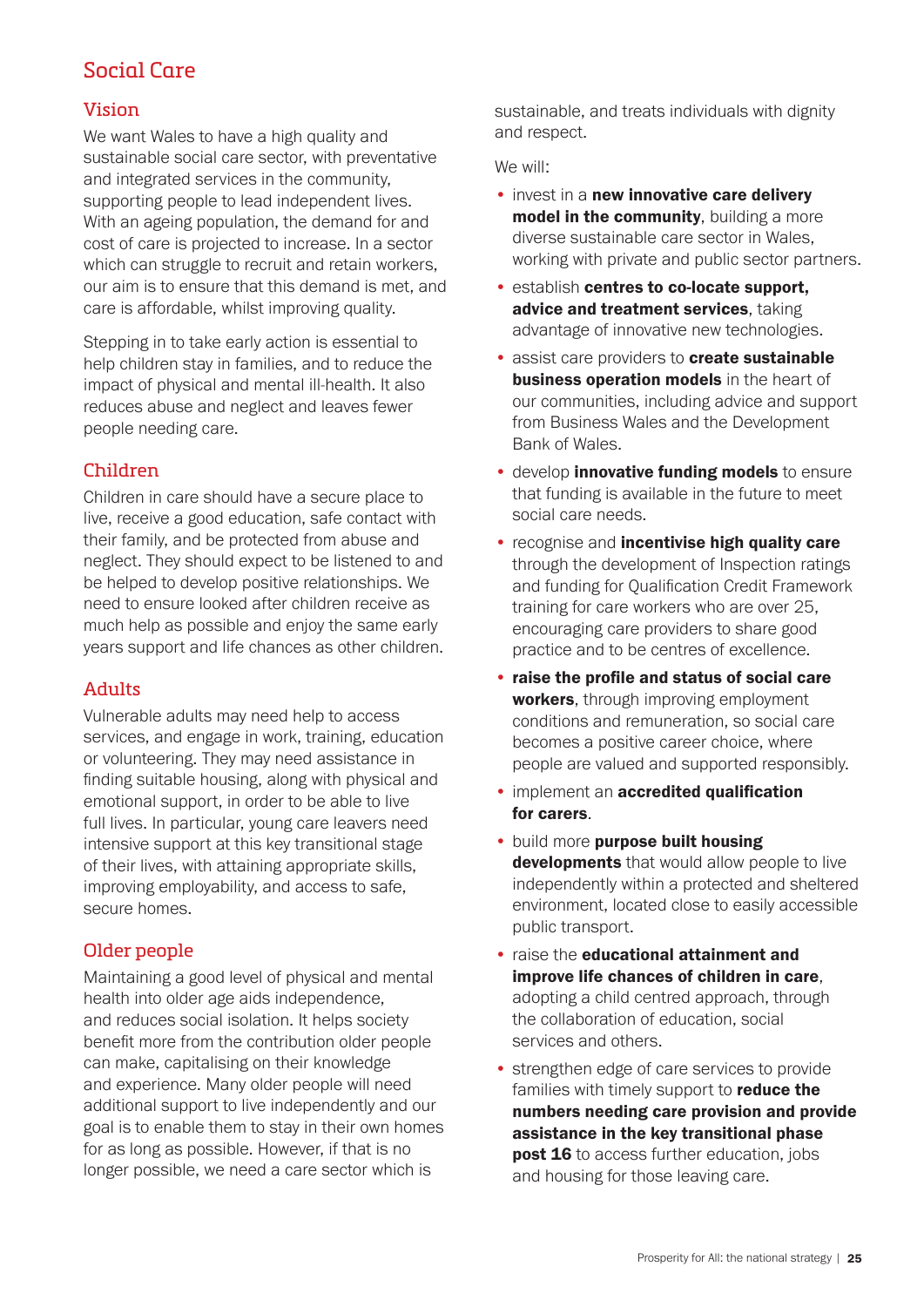# Social Care

#### Vision

We want Wales to have a high quality and sustainable social care sector, with preventative and integrated services in the community, supporting people to lead independent lives. With an ageing population, the demand for and cost of care is projected to increase. In a sector which can struggle to recruit and retain workers. our aim is to ensure that this demand is met, and care is affordable, whilst improving quality.

Stepping in to take early action is essential to help children stay in families, and to reduce the impact of physical and mental ill-health. It also reduces abuse and neglect and leaves fewer people needing care.

#### Children

Children in care should have a secure place to live, receive a good education, safe contact with their family, and be protected from abuse and neglect. They should expect to be listened to and be helped to develop positive relationships. We need to ensure looked after children receive as much help as possible and enjoy the same early years support and life chances as other children.

#### Adults

Vulnerable adults may need help to access services, and engage in work, training, education or volunteering. They may need assistance in finding suitable housing, along with physical and emotional support, in order to be able to live full lives. In particular, young care leavers need intensive support at this key transitional stage of their lives, with attaining appropriate skills, improving employability, and access to safe, secure homes.

#### Older people

Maintaining a good level of physical and mental health into older age aids independence, and reduces social isolation. It helps society benefit more from the contribution older people can make, capitalising on their knowledge and experience. Many older people will need additional support to live independently and our goal is to enable them to stay in their own homes for as long as possible. However, if that is no longer possible, we need a care sector which is

sustainable, and treats individuals with dignity and respect.

- invest in a new innovative care delivery model in the community, building a more diverse sustainable care sector in Wales, working with private and public sector partners.
- establish centres to co-locate support, advice and treatment services, taking advantage of innovative new technologies.
- assist care providers to create sustainable business operation models in the heart of our communities, including advice and support from Business Wales and the Development Bank of Wales.
- develop *innovative funding models* to ensure that funding is available in the future to meet social care needs.
- recognise and incentivise high quality care through the development of Inspection ratings and funding for Qualification Credit Framework training for care workers who are over 25, encouraging care providers to share good practice and to be centres of excellence.
- raise the profile and status of social care workers, through improving employment conditions and remuneration, so social care becomes a positive career choice, where people are valued and supported responsibly.
- implement an **accredited qualification** for carers.
- build more purpose built housing developments that would allow people to live independently within a protected and sheltered environment, located close to easily accessible public transport.
- raise the educational attainment and improve life chances of children in care, adopting a child centred approach, through the collaboration of education, social services and others.
- strengthen edge of care services to provide families with timely support to **reduce the** numbers needing care provision and provide assistance in the key transitional phase **post 16** to access further education, jobs and housing for those leaving care.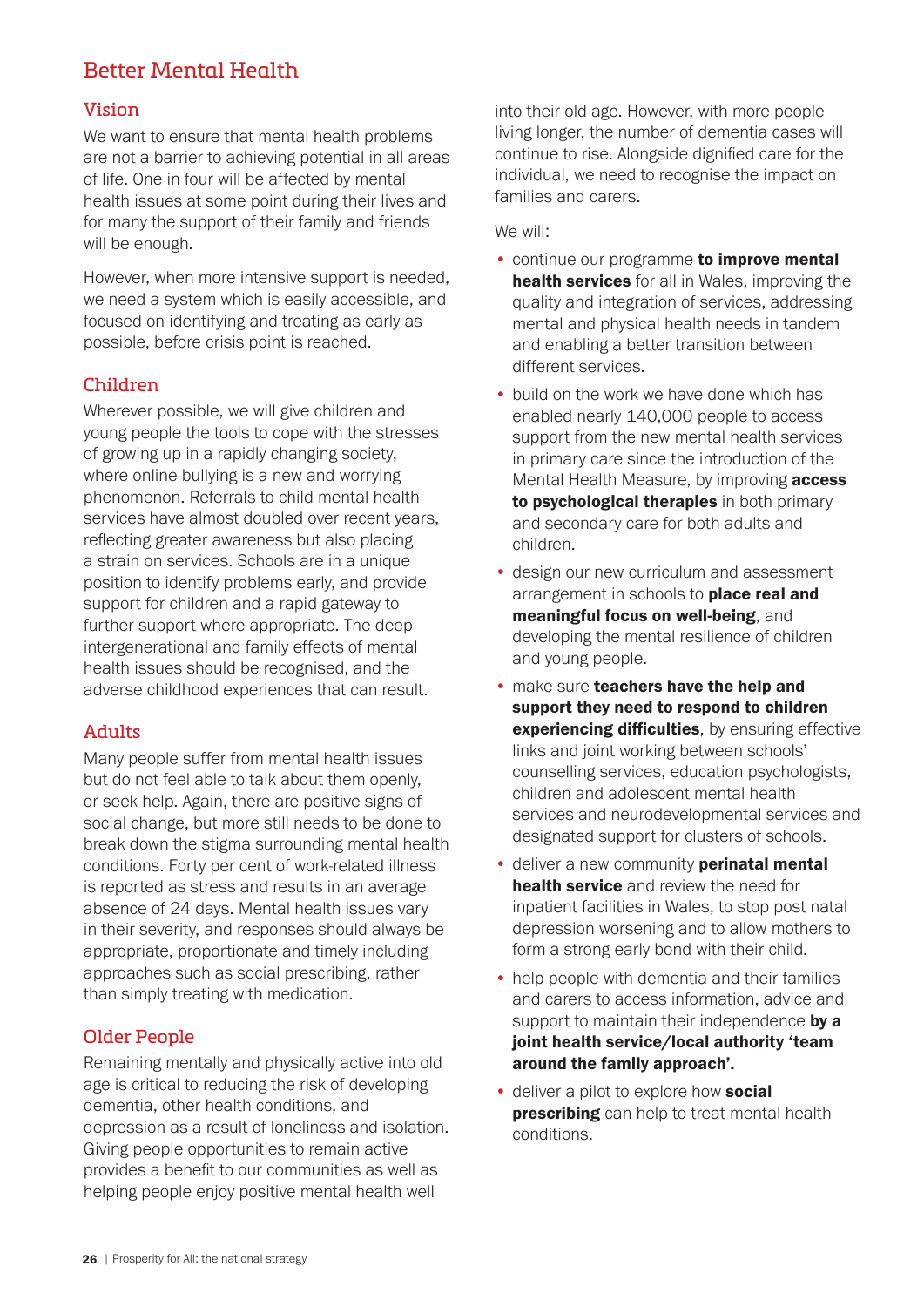# Better Mental Health

#### Vision

We want to ensure that mental health problems are not a barrier to achieving potential in all areas of life. One in four will be affected by mental health issues at some point during their lives and for many the support of their family and friends will be enough.

However, when more intensive support is needed, we need a system which is easily accessible, and focused on identifying and treating as early as possible, before crisis point is reached.

#### Children

Wherever possible, we will give children and young people the tools to cope with the stresses of growing up in a rapidly changing society, where online bullying is a new and worrying phenomenon. Referrals to child mental health services have almost doubled over recent years, reflecting greater awareness but also placing a strain on services. Schools are in a unique position to identify problems early, and provide support for children and a rapid gateway to further support where appropriate. The deep intergenerational and family effects of mental health issues should be recognised, and the adverse childhood experiences that can result.

#### Adults

Many people suffer from mental health issues but do not feel able to talk about them openly, or seek help. Again, there are positive signs of social change, but more still needs to be done to break down the stigma surrounding mental health conditions. Forty per cent of work-related illness is reported as stress and results in an average absence of 24 days. Mental health issues vary in their severity, and responses should always be appropriate, proportionate and timely including approaches such as social prescribing, rather than simply treating with medication.

#### Older People

Remaining mentally and physically active into old age is critical to reducing the risk of developing dementia, other health conditions, and depression as a result of loneliness and isolation. Giving people opportunities to remain active provides a benefit to our communities as well as helping people enjoy positive mental health well

into their old age. However, with more people living longer, the number of dementia cases will continue to rise. Alongside dignified care for the individual, we need to recognise the impact on families and carers.

- continue our programme to improve mental health services for all in Wales, improving the quality and integration of services, addressing mental and physical health needs in tandem and enabling a better transition between different services.
- build on the work we have done which has enabled nearly 140,000 people to access support from the new mental health services in primary care since the introduction of the Mental Health Measure, by improving **access** to psychological therapies in both primary and secondary care for both adults and children.
- design our new curriculum and assessment arrangement in schools to **place real and** meaningful focus on well-being, and developing the mental resilience of children and young people.
- make sure teachers have the help and support they need to respond to children **experiencing difficulties**, by ensuring effective links and joint working between schools' counselling services, education psychologists, children and adolescent mental health services and neurodevelopmental services and designated support for clusters of schools.
- deliver a new community **perinatal mental** health service and review the need for inpatient facilities in Wales, to stop post natal depression worsening and to allow mothers to form a strong early bond with their child.
- help people with dementia and their families and carers to access information, advice and support to maintain their independence by a joint health service/local authority 'team around the family approach'.
- deliver a pilot to explore how **social prescribing** can help to treat mental health conditions.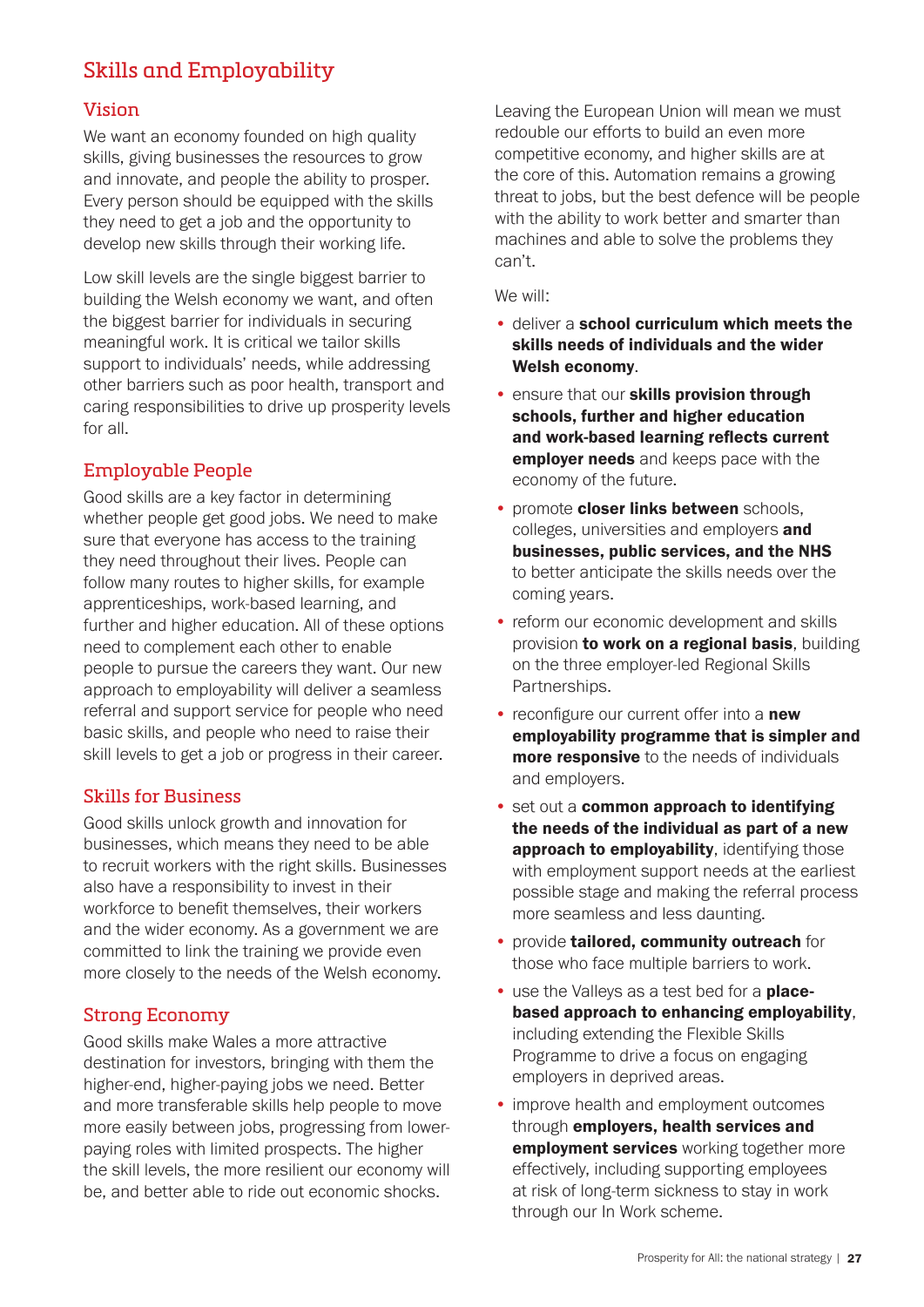# Skills and Employability

#### Vision

We want an economy founded on high quality skills, giving businesses the resources to grow and innovate, and people the ability to prosper. Every person should be equipped with the skills they need to get a job and the opportunity to develop new skills through their working life.

Low skill levels are the single biggest barrier to building the Welsh economy we want, and often the biggest barrier for individuals in securing meaningful work. It is critical we tailor skills support to individuals' needs, while addressing other barriers such as poor health, transport and caring responsibilities to drive up prosperity levels for all.

#### Employable People

Good skills are a key factor in determining whether people get good jobs. We need to make sure that everyone has access to the training they need throughout their lives. People can follow many routes to higher skills, for example apprenticeships, work-based learning, and further and higher education. All of these options need to complement each other to enable people to pursue the careers they want. Our new approach to employability will deliver a seamless referral and support service for people who need basic skills, and people who need to raise their skill levels to get a job or progress in their career.

#### Skills for Business

Good skills unlock growth and innovation for businesses, which means they need to be able to recruit workers with the right skills. Businesses also have a responsibility to invest in their workforce to benefit themselves, their workers and the wider economy. As a government we are committed to link the training we provide even more closely to the needs of the Welsh economy.

#### Strong Economy

Good skills make Wales a more attractive destination for investors, bringing with them the higher-end, higher-paying jobs we need. Better and more transferable skills help people to move more easily between jobs, progressing from lowerpaying roles with limited prospects. The higher the skill levels, the more resilient our economy will be, and better able to ride out economic shocks.

Leaving the European Union will mean we must redouble our efforts to build an even more competitive economy, and higher skills are at the core of this. Automation remains a growing threat to jobs, but the best defence will be people with the ability to work better and smarter than machines and able to solve the problems they can't.

- deliver a school curriculum which meets the skills needs of individuals and the wider Welsh economy.
- **ensure that our skills provision through** schools, further and higher education and work-based learning reflects current employer needs and keeps pace with the economy of the future.
- promote closer links between schools, colleges, universities and employers and businesses, public services, and the NHS to better anticipate the skills needs over the coming years.
- reform our economic development and skills provision to work on a regional basis, building on the three employer-led Regional Skills Partnerships.
- reconfigure our current offer into a new employability programme that is simpler and **more responsive** to the needs of individuals and employers.
- set out a common approach to identifying the needs of the individual as part of a new approach to employability, identifying those with employment support needs at the earliest possible stage and making the referral process more seamless and less daunting.
- provide tailored, community outreach for those who face multiple barriers to work.
- use the Valleys as a test bed for a placebased approach to enhancing employability, including extending the Flexible Skills Programme to drive a focus on engaging employers in deprived areas.
- improve health and employment outcomes through employers, health services and employment services working together more effectively, including supporting employees at risk of long-term sickness to stay in work through our In Work scheme.